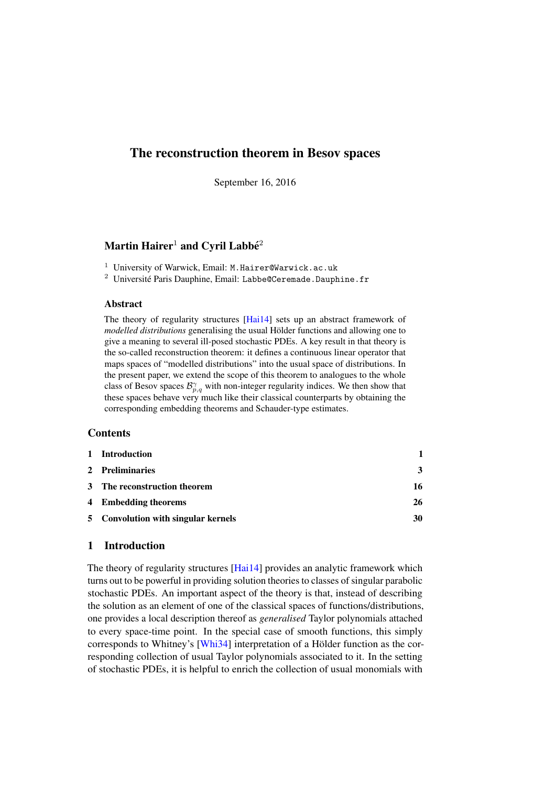# The reconstruction theorem in Besov spaces

September 16, 2016

## Martin Hairer $^1$  and Cyril Labbé $^2$

- <sup>1</sup> University of Warwick, Email: M.Hairer@Warwick.ac.uk
- $2$  Université Paris Dauphine, Email: Labbe@Ceremade.Dauphine.fr

## Abstract

The theory of regularity structures [\[Hai14\]](#page-34-0) sets up an abstract framework of *modelled distributions* generalising the usual Hölder functions and allowing one to give a meaning to several ill-posed stochastic PDEs. A key result in that theory is the so-called reconstruction theorem: it defines a continuous linear operator that maps spaces of "modelled distributions" into the usual space of distributions. In the present paper, we extend the scope of this theorem to analogues to the whole class of Besov spaces  $\mathcal{B}_{p,q}^{\gamma}$  with non-integer regularity indices. We then show that these spaces behave very much like their classical counterparts by obtaining the corresponding embedding theorems and Schauder-type estimates.

## **Contents**

| 1 Introduction                      |    |
|-------------------------------------|----|
| 2 Preliminaries                     | 3  |
| 3 The reconstruction theorem        | 16 |
| 4 Embedding theorems                | 26 |
| 5 Convolution with singular kernels | 30 |

## <span id="page-0-0"></span>1 Introduction

The theory of regularity structures [\[Hai14\]](#page-34-0) provides an analytic framework which turns out to be powerful in providing solution theories to classes of singular parabolic stochastic PDEs. An important aspect of the theory is that, instead of describing the solution as an element of one of the classical spaces of functions/distributions, one provides a local description thereof as *generalised* Taylor polynomials attached to every space-time point. In the special case of smooth functions, this simply corresponds to Whitney's [\[Whi34\]](#page-35-0) interpretation of a Hölder function as the corresponding collection of usual Taylor polynomials associated to it. In the setting of stochastic PDEs, it is helpful to enrich the collection of usual monomials with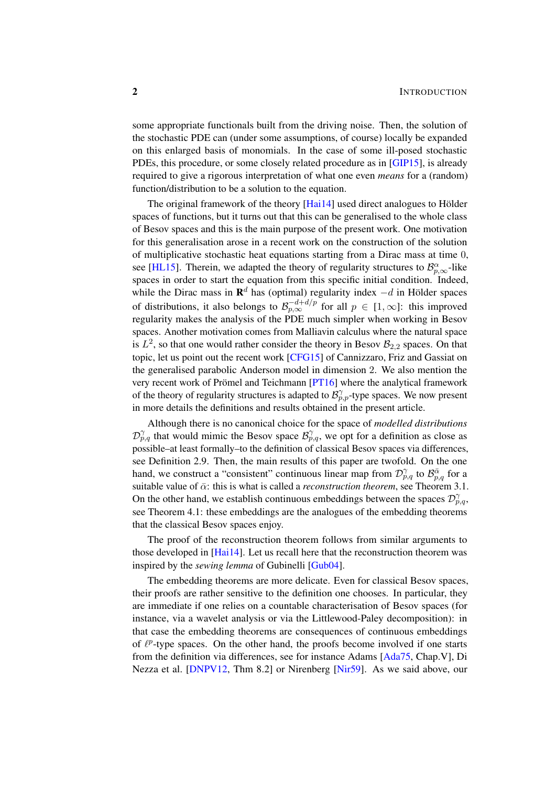some appropriate functionals built from the driving noise. Then, the solution of the stochastic PDE can (under some assumptions, of course) locally be expanded on this enlarged basis of monomials. In the case of some ill-posed stochastic PDEs, this procedure, or some closely related procedure as in [\[GIP15\]](#page-34-1), is already required to give a rigorous interpretation of what one even *means* for a (random) function/distribution to be a solution to the equation.

The original framework of the theory [\[Hai14\]](#page-34-0) used direct analogues to Hölder spaces of functions, but it turns out that this can be generalised to the whole class of Besov spaces and this is the main purpose of the present work. One motivation for this generalisation arose in a recent work on the construction of the solution of multiplicative stochastic heat equations starting from a Dirac mass at time 0, see [\[HL15\]](#page-34-2). Therein, we adapted the theory of regularity structures to  $\mathcal{B}_{p,\infty}^{\alpha}$ -like spaces in order to start the equation from this specific initial condition. Indeed, while the Dirac mass in  $\mathbf{R}^d$  has (optimal) regularity index  $-d$  in Hölder spaces of distributions, it also belongs to  $\mathcal{B}_{p,\infty}^{-d+d/p}$  for all  $p \in [1,\infty]$ : this improved regularity makes the analysis of the PDE much simpler when working in Besov spaces. Another motivation comes from Malliavin calculus where the natural space is  $L^2$ , so that one would rather consider the theory in Besov  $\mathcal{B}_{2,2}$  spaces. On that topic, let us point out the recent work [\[CFG15\]](#page-34-3) of Cannizzaro, Friz and Gassiat on the generalised parabolic Anderson model in dimension 2. We also mention the very recent work of Prömel and Teichmann  $[PT16]$  $[PT16]$  where the analytical framework of the theory of regularity structures is adapted to  $\mathcal{B}_{p,p}^{\gamma}$ -type spaces. We now present in more details the definitions and results obtained in the present article.

Although there is no canonical choice for the space of *modelled distributions*  $\mathcal{D}_{p,q}^{\gamma}$  that would mimic the Besov space  $\mathcal{B}_{p,q}^{\gamma}$ , we opt for a definition as close as possible–at least formally–to the definition of classical Besov spaces via differences, see Definition [2.9.](#page-9-0) Then, the main results of this paper are twofold. On the one hand, we construct a "consistent" continuous linear map from  $\mathcal{D}_{p,q}^{\gamma}$  to  $\mathcal{B}_{p,q}^{\bar{\alpha}}$  for a suitable value of  $\bar{\alpha}$ : this is what is called a *reconstruction theorem*, see Theorem [3.1.](#page-15-1) On the other hand, we establish continuous embeddings between the spaces  $\mathcal{D}_{p,q}^{\gamma}$ , see Theorem [4.1:](#page-25-1) these embeddings are the analogues of the embedding theorems that the classical Besov spaces enjoy.

The proof of the reconstruction theorem follows from similar arguments to those developed in [\[Hai14\]](#page-34-0). Let us recall here that the reconstruction theorem was inspired by the *sewing lemma* of Gubinelli [\[Gub04\]](#page-34-4).

The embedding theorems are more delicate. Even for classical Besov spaces, their proofs are rather sensitive to the definition one chooses. In particular, they are immediate if one relies on a countable characterisation of Besov spaces (for instance, via a wavelet analysis or via the Littlewood-Paley decomposition): in that case the embedding theorems are consequences of continuous embeddings of  $l^p$ -type spaces. On the other hand, the proofs become involved if one starts from the definition via differences, see for instance Adams [\[Ada75,](#page-34-5) Chap.V], Di Nezza et al. [\[DNPV12,](#page-34-6) Thm 8.2] or Nirenberg [\[Nir59\]](#page-35-2). As we said above, our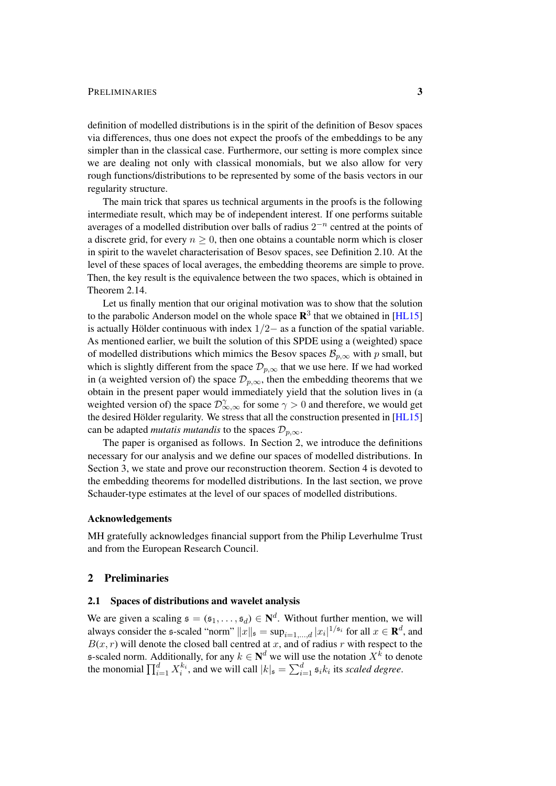definition of modelled distributions is in the spirit of the definition of Besov spaces via differences, thus one does not expect the proofs of the embeddings to be any simpler than in the classical case. Furthermore, our setting is more complex since we are dealing not only with classical monomials, but we also allow for very rough functions/distributions to be represented by some of the basis vectors in our regularity structure.

The main trick that spares us technical arguments in the proofs is the following intermediate result, which may be of independent interest. If one performs suitable averages of a modelled distribution over balls of radius  $2^{-n}$  centred at the points of a discrete grid, for every  $n \geq 0$ , then one obtains a countable norm which is closer in spirit to the wavelet characterisation of Besov spaces, see Definition [2.10.](#page-9-1) At the level of these spaces of local averages, the embedding theorems are simple to prove. Then, the key result is the equivalence between the two spaces, which is obtained in Theorem [2.14.](#page-11-0)

Let us finally mention that our original motivation was to show that the solution to the parabolic Anderson model on the whole space  $\mathbb{R}^3$  that we obtained in [\[HL15\]](#page-34-2) is actually Hölder continuous with index  $1/2-$  as a function of the spatial variable. As mentioned earlier, we built the solution of this SPDE using a (weighted) space of modelled distributions which mimics the Besov spaces  $\mathcal{B}_{p,\infty}$  with p small, but which is slightly different from the space  $\mathcal{D}_{p,\infty}$  that we use here. If we had worked in (a weighted version of) the space  $\mathcal{D}_{p,\infty}$ , then the embedding theorems that we obtain in the present paper would immediately yield that the solution lives in (a weighted version of) the space  $\mathcal{D}^{\gamma}_{\infty,\infty}$  for some  $\gamma > 0$  and therefore, we would get the desired Hölder regularity. We stress that all the construction presented in  $[HL15]$  $[HL15]$ can be adapted *mutatis mutandis* to the spaces  $\mathcal{D}_{p,\infty}$ .

The paper is organised as follows. In Section [2,](#page-2-0) we introduce the definitions necessary for our analysis and we define our spaces of modelled distributions. In Section [3,](#page-15-0) we state and prove our reconstruction theorem. Section [4](#page-25-0) is devoted to the embedding theorems for modelled distributions. In the last section, we prove Schauder-type estimates at the level of our spaces of modelled distributions.

#### Acknowledgements

MH gratefully acknowledges financial support from the Philip Leverhulme Trust and from the European Research Council.

## <span id="page-2-0"></span>2 Preliminaries

## <span id="page-2-1"></span>2.1 Spaces of distributions and wavelet analysis

We are given a scaling  $\mathfrak{s} = (\mathfrak{s}_1, \dots, \mathfrak{s}_d) \in \mathbb{N}^d$ . Without further mention, we will always consider the s-scaled "norm"  $||x||_{\mathfrak{s}} = \sup_{i=1,\dots,d} |x_i|^{1/\mathfrak{s}_i}$  for all  $x \in \mathbf{R}^d$ , and  $B(x, r)$  will denote the closed ball centred at x, and of radius r with respect to the  $\mathfrak s$ -scaled norm. Additionally, for any  $k \in \mathbb N^d$  we will use the notation  $X^k$  to denote the monomial  $\prod_{i=1}^d X_i^{k_i}$ , and we will call  $|k|_{\mathfrak{s}} = \sum_{i=1}^d \mathfrak{s}_i k_i$  its *scaled degree*.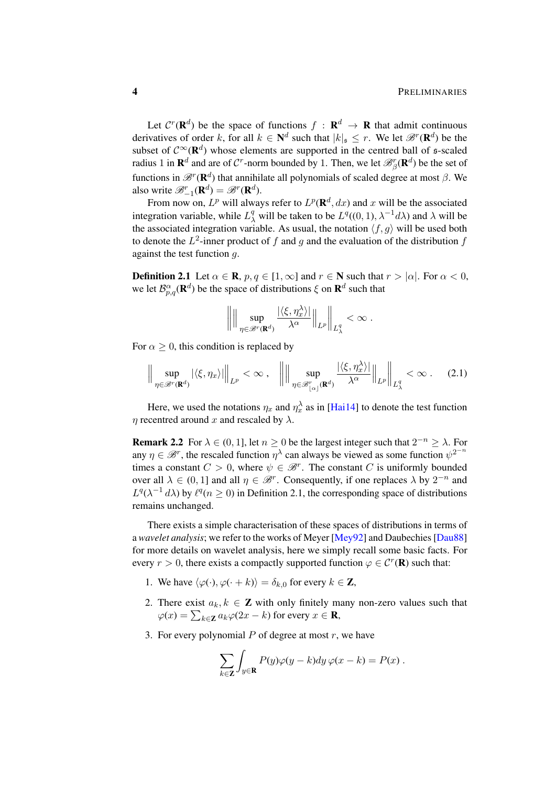Let  $\mathcal{C}^r(\mathbf{R}^d)$  be the space of functions  $f : \mathbf{R}^d \to \mathbf{R}$  that admit continuous derivatives of order k, for all  $k \in \mathbb{N}^d$  such that  $|k|_{\mathfrak{s}} \leq r$ . We let  $\mathcal{B}^r(\mathbf{R}^d)$  be the subset of  $\mathcal{C}^{\infty}(\mathbf{R}^d)$  whose elements are supported in the centred ball of  $\mathfrak{s}$ -scaled radius 1 in  $\mathbf{R}^d$  and are of  $\mathcal{C}^r$ -norm bounded by 1. Then, we let  $\mathscr{B}_{\beta}^r(\mathbf{R}^d)$  be the set of functions in  $\mathscr{B}^r(\mathbf{R}^d)$  that annihilate all polynomials of scaled degree at most  $\beta$ . We also write  $\mathscr{B}^r_{-1}(\mathbf{R}^d) = \mathscr{B}^r(\mathbf{R}^d)$ .

From now on,  $L^p$  will always refer to  $L^p(\mathbf{R}^d, dx)$  and x will be the associated integration variable, while  $L^q_\lambda$  will be taken to be  $L^q((0,1), \lambda^{-1}d\lambda)$  and  $\lambda$  will be the associated integration variable. As usual, the notation  $\langle f, g \rangle$  will be used both to denote the  $L^2$ -inner product of f and g and the evaluation of the distribution f against the test function g.

<span id="page-3-0"></span>**Definition 2.1** Let  $\alpha \in \mathbb{R}$ ,  $p, q \in [1, \infty]$  and  $r \in \mathbb{N}$  such that  $r > |\alpha|$ . For  $\alpha < 0$ , we let  $\mathcal{B}_{p,q}^{\alpha}(\mathbf{R}^d)$  be the space of distributions  $\xi$  on  $\mathbf{R}^d$  such that

<span id="page-3-1"></span>
$$
\left\|\Big\|\sup_{\eta\in\mathscr{B}^r(\mathbf{R}^d)}\frac{|\langle\xi,\eta_x^\lambda\rangle|}{\lambda^\alpha}\Big\|_{L^p}\right\|_{L^q_\lambda}<\infty\;.
$$

For  $\alpha \geq 0$ , this condition is replaced by

$$
\Big\| \sup_{\eta \in \mathscr{B}^r(\mathbf{R}^d)} |\langle \xi, \eta_x \rangle| \Big\|_{L^p} < \infty \,, \quad \Big\| \Big\| \sup_{\eta \in \mathscr{B}^r_{\lfloor \alpha \rfloor}(\mathbf{R}^d)} \frac{|\langle \xi, \eta_x^{\lambda} \rangle|}{\lambda^{\alpha}} \Big\|_{L^p} \Big\|_{L^q_\lambda} < \infty \,. \tag{2.1}
$$

Here, we used the notations  $\eta_x$  and  $\eta_x^{\lambda}$  as in [\[Hai14\]](#page-34-0) to denote the test function  $\eta$  recentred around x and rescaled by  $\lambda$ .

**Remark 2.2** For  $\lambda \in (0, 1]$ , let  $n \ge 0$  be the largest integer such that  $2^{-n} \ge \lambda$ . For any  $\eta \in \mathcal{B}^r$ , the rescaled function  $\eta^{\lambda}$  can always be viewed as some function  $\psi^{2^{-n}}$ times a constant  $C > 0$ , where  $\psi \in \mathcal{B}^r$ . The constant C is uniformly bounded over all  $\lambda \in (0,1]$  and all  $\eta \in \mathcal{B}^r$ . Consequently, if one replaces  $\lambda$  by  $2^{-n}$  and  $L^q(\lambda^{-1} d\lambda)$  by  $\ell^q(n \geq 0)$  in Definition [2.1,](#page-3-0) the corresponding space of distributions remains unchanged.

There exists a simple characterisation of these spaces of distributions in terms of a *wavelet analysis*; we refer to the works of Meyer [\[Mey92\]](#page-34-7) and Daubechies [\[Dau88\]](#page-34-8) for more details on wavelet analysis, here we simply recall some basic facts. For every  $r > 0$ , there exists a compactly supported function  $\varphi \in \mathcal{C}^r(\mathbf{R})$  such that:

- 1. We have  $\langle \varphi(\cdot), \varphi(\cdot + k) \rangle = \delta_{k,0}$  for every  $k \in \mathbb{Z}$ ,
- 2. There exist  $a_k, k \in \mathbb{Z}$  with only finitely many non-zero values such that  $\varphi(x) = \sum_{k \in \mathbf{Z}} a_k \varphi(2x - k)$  for every  $x \in \mathbf{R}$ ,
- 3. For every polynomial  $P$  of degree at most  $r$ , we have

$$
\sum_{k\in\mathbf{Z}}\int_{y\in\mathbf{R}}P(y)\varphi(y-k)dy\,\varphi(x-k)=P(x).
$$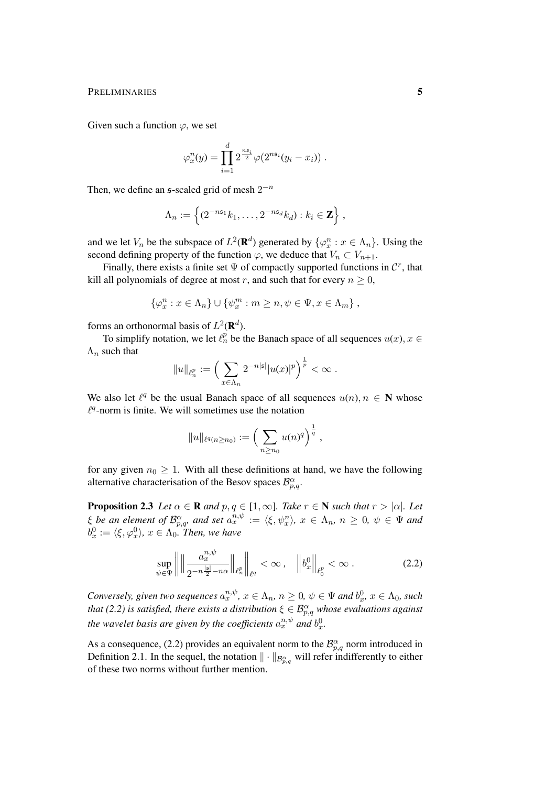Given such a function  $\varphi$ , we set

$$
\varphi_x^n(y) = \prod_{i=1}^d 2^{\frac{ns_i}{2}} \varphi(2^{ns_i}(y_i - x_i)) \; .
$$

Then, we define an  $\mathfrak s$ -scaled grid of mesh  $2^{-n}$ 

$$
\Lambda_n := \left\{ (2^{-ns_1}k_1, \ldots, 2^{-ns_d}k_d) : k_i \in \mathbf{Z} \right\},\,
$$

and we let  $V_n$  be the subspace of  $L^2(\mathbf{R}^d)$  generated by  $\{\varphi_x^n : x \in \Lambda_n\}$ . Using the second defining property of the function  $\varphi$ , we deduce that  $V_n \subset V_{n+1}$ .

Finally, there exists a finite set  $\Psi$  of compactly supported functions in  $\mathcal{C}^r$ , that kill all polynomials of degree at most r, and such that for every  $n \geq 0$ ,

$$
\{\varphi_x^n : x \in \Lambda_n\} \cup \{\psi_x^m : m \ge n, \psi \in \Psi, x \in \Lambda_m\},\
$$

forms an orthonormal basis of  $L^2(\mathbf{R}^d)$ .

To simplify notation, we let  $\ell_n^p$  be the Banach space of all sequences  $u(x)$ ,  $x \in$  $\Lambda_n$  such that

$$
||u||_{\ell^p_n} := \left(\sum_{x \in \Lambda_n} 2^{-n|s|} |u(x)|^p\right)^{\frac{1}{p}} < \infty.
$$

We also let  $\ell^q$  be the usual Banach space of all sequences  $u(n)$ ,  $n \in \mathbb{N}$  whose  $\ell^q$ -norm is finite. We will sometimes use the notation

$$
||u||_{\ell^q(n \ge n_0)} := \left(\sum_{n \ge n_0} u(n)^q\right)^{\frac{1}{q}},
$$

for any given  $n_0 \geq 1$ . With all these definitions at hand, we have the following alternative characterisation of the Besov spaces  $\mathcal{B}_{p,q}^{\alpha}$ .

<span id="page-4-1"></span>**Proposition 2.3** *Let*  $\alpha \in \mathbb{R}$  *and*  $p, q \in [1, \infty]$ *. Take*  $r \in \mathbb{N}$  *such that*  $r > |\alpha|$ *. Let*  $\xi$  *be an element of*  $\mathcal{B}_{p,q}^{\alpha}$ , and set  $a_x^{n,\psi} := \langle \xi, \psi_x^n \rangle$ ,  $x \in \Lambda_n$ ,  $n \geq 0$ ,  $\psi \in \Psi$  and  $b_x^0 := \langle \xi, \varphi_x^0 \rangle$ ,  $x \in \Lambda_0$ . Then, we have

<span id="page-4-0"></span>
$$
\sup_{\psi \in \Psi} \left\| \left\| \frac{a_x^{n,\psi}}{2^{-n\frac{|s|}{2} - n\alpha}} \right\|_{\ell_n^p} \right\|_{\ell^q} < \infty \,, \quad \left\| b_x^0 \right\|_{\ell_0^p} < \infty \,.
$$
\n(2.2)

*Conversely, given two sequences*  $a_x^{n,\psi}$ ,  $x \in \Lambda_n$ ,  $n \geq 0$ ,  $\psi \in \Psi$  and  $b_x^0$ ,  $x \in \Lambda_0$ , such *that [\(2.2\)](#page-4-0) is satisfied, there exists a distribution*  $\xi \in \mathcal{B}^{\alpha}_{p,q}$  whose evaluations against *the wavelet basis are given by the coefficients*  $a_x^{n,\psi}$  *and*  $b_x^0$ *.* 

As a consequence, [\(2.2\)](#page-4-0) provides an equivalent norm to the  $\mathcal{B}_{p,q}^{\alpha}$  norm introduced in Definition [2.1.](#page-3-0) In the sequel, the notation  $\|\cdot\|_{\mathcal{B}^{\alpha}_{p,q}}$  will refer indifferently to either of these two norms without further mention.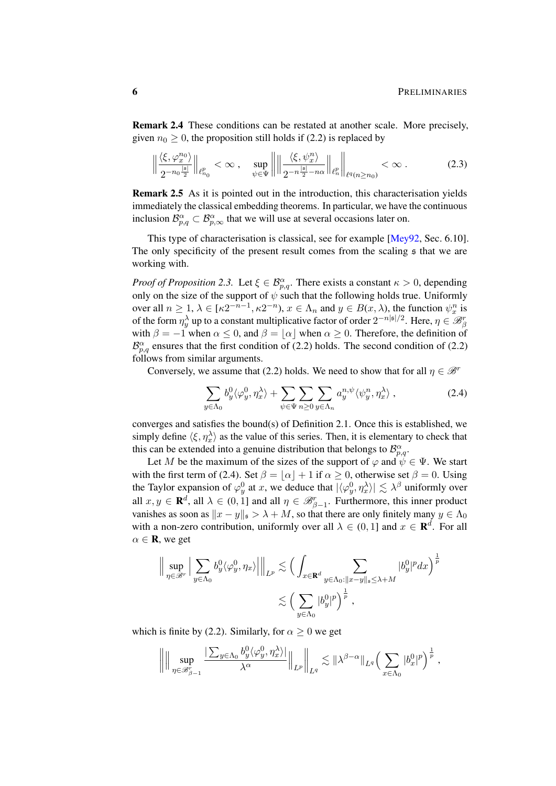Remark 2.4 These conditions can be restated at another scale. More precisely, given  $n_0 \geq 0$ , the proposition still holds if [\(2.2\)](#page-4-0) is replaced by

$$
\left\| \frac{\langle \xi, \varphi_x^{n_0} \rangle}{2^{-n_0 \frac{|\mathfrak{s}|}{2}}} \right\|_{\ell_{n_0}^p} < \infty \,, \quad \sup_{\psi \in \Psi} \left\| \left\| \frac{\langle \xi, \psi_x^{n} \rangle}{2^{-n \frac{|\mathfrak{s}|}{2} - n\alpha}} \right\|_{\ell_n^p} \right\|_{\ell^q(n \ge n_0)} < \infty \,. \tag{2.3}
$$

Remark 2.5 As it is pointed out in the introduction, this characterisation yields immediately the classical embedding theorems. In particular, we have the continuous inclusion  $\mathcal{B}_{p,q}^{\alpha} \subset \mathcal{B}_{p,\infty}^{\alpha}$  that we will use at several occasions later on.

This type of characterisation is classical, see for example [\[Mey92,](#page-34-7) Sec. 6.10]. The only specificity of the present result comes from the scaling s that we are working with.

*Proof of Proposition* [2.3.](#page-4-1) Let  $\xi \in \mathcal{B}_{p,q}^{\alpha}$ . There exists a constant  $\kappa > 0$ , depending only on the size of the support of  $\psi$  such that the following holds true. Uniformly over all  $n \ge 1$ ,  $\lambda \in [\kappa 2^{-n-1}, \kappa 2^{-n})$ ,  $x \in \Lambda_n$  and  $y \in B(x, \lambda)$ , the function  $\psi_x^n$  is of the form  $\eta^{\lambda}_y$  up to a constant multiplicative factor of order  $2^{-n|\mathfrak{s}|/2}$ . Here,  $\eta \in \mathscr{B}_{\beta}^r$ with  $\beta = -1$  when  $\alpha \le 0$ , and  $\beta = |\alpha|$  when  $\alpha \ge 0$ . Therefore, the definition of  $\mathcal{B}_{p,q}^{\alpha}$  ensures that the first condition of [\(2.2\)](#page-4-0) holds. The second condition of (2.2) follows from similar arguments.

Conversely, we assume that [\(2.2\)](#page-4-0) holds. We need to show that for all  $\eta \in \mathcal{B}^r$ 

<span id="page-5-0"></span>
$$
\sum_{y \in \Lambda_0} b_y^0 \langle \varphi_y^0, \eta_x^{\lambda} \rangle + \sum_{\psi \in \Psi} \sum_{n \ge 0} \sum_{y \in \Lambda_n} a_y^{n, \psi} \langle \psi_y^n, \eta_x^{\lambda} \rangle, \tag{2.4}
$$

converges and satisfies the bound(s) of Definition [2.1.](#page-3-0) Once this is established, we simply define  $\langle \xi, \eta_x^{\lambda} \rangle$  as the value of this series. Then, it is elementary to check that this can be extended into a genuine distribution that belongs to  $\mathcal{B}_{p,q}^{\alpha}$ .

Let M be the maximum of the sizes of the support of  $\varphi$  and  $\psi \in \Psi$ . We start with the first term of [\(2.4\)](#page-5-0). Set  $\beta = |\alpha| + 1$  if  $\alpha \ge 0$ , otherwise set  $\beta = 0$ . Using the Taylor expansion of  $\varphi_y^0$  at x, we deduce that  $|\langle \varphi_y^0, \eta_x^{\lambda} \rangle| \lesssim \lambda^{\beta}$  uniformly over all  $x, y \in \mathbf{R}^d$ , all  $\lambda \in (0, 1]$  and all  $\eta \in \mathcal{B}_{\beta-1}^r$ . Furthermore, this inner product vanishes as soon as  $||x - y||_5 > \lambda + M$ , so that there are only finitely many  $y \in \Lambda_0$ with a non-zero contribution, uniformly over all  $\lambda \in (0,1]$  and  $x \in \mathbb{R}^d$ . For all  $\alpha \in \mathbf{R}$ , we get

$$
\Big\| \sup_{\eta \in \mathscr{B}^r} \Big| \sum_{y \in \Lambda_0} b_y^0 \langle \varphi_y^0, \eta_x \rangle \Big| \Big\|_{L^p} \lesssim \Big( \int_{x \in \mathbf{R}^d} \sum_{y \in \Lambda_0 : \|x - y\|_s \le \lambda + M} |b_y^0|^p dx \Big)^{\frac{1}{p}} \lesssim \Big( \sum_{y \in \Lambda_0} |b_y^0|^p \Big)^{\frac{1}{p}},
$$

which is finite by [\(2.2\)](#page-4-0). Similarly, for  $\alpha \geq 0$  we get

$$
\left\lVert \Big\|\sup_{\eta \in \mathscr{B}_{\beta-1}^r} \frac{\left|\sum_{y \in \Lambda_0} b_y^0 \langle \varphi_y^0, \eta_x^{\lambda} \rangle \right|}{\lambda^{\alpha}} \Big\|_{L^p} \right\rVert_{L^q} \lesssim \|\lambda^{\beta-\alpha}\|_{L^q} \Big(\sum_{x \in \Lambda_0} |b_x^0|^p\Big)^{\frac{1}{p}},
$$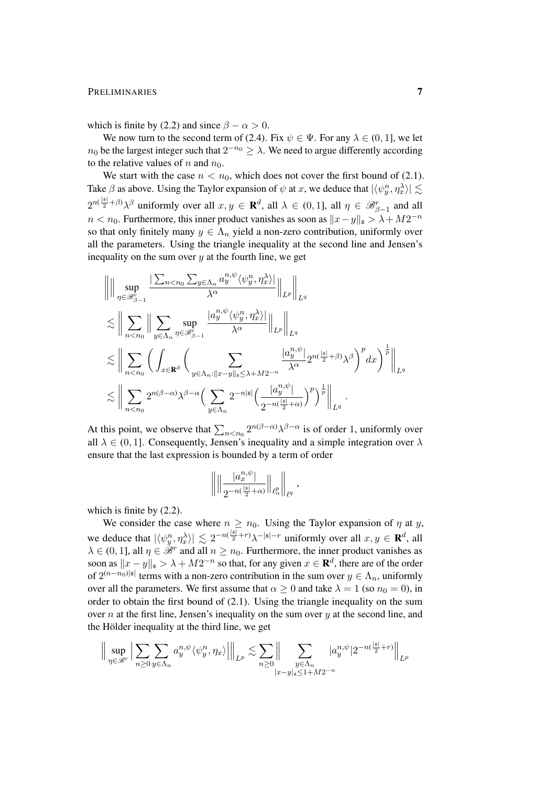which is finite by [\(2.2\)](#page-4-0) and since  $\beta - \alpha > 0$ .

We now turn to the second term of [\(2.4\)](#page-5-0). Fix  $\psi \in \Psi$ . For any  $\lambda \in (0, 1]$ , we let  $n_0$  be the largest integer such that  $2^{-n_0} \geq \lambda$ . We need to argue differently according to the relative values of n and  $n_0$ .

We start with the case  $n < n_0$ , which does not cover the first bound of [\(2.1\)](#page-3-1). Take  $\beta$  as above. Using the Taylor expansion of  $\psi$  at x, we deduce that  $|\langle \psi_y^n, \eta_x^{\lambda} \rangle| \lesssim$  $2^{n(\frac{|\mathfrak{s}|}{2}+\beta)}\lambda^{\beta}$  uniformly over all  $x, y \in \mathbf{R}^d$ , all  $\lambda \in (0,1]$ , all  $\eta \in \mathscr{B}_{\beta-1}^r$  and all  $n < n_0$ . Furthermore, this inner product vanishes as soon as  $||x - y||_{\mathfrak{s}} > \lambda + M2^{-n}$ so that only finitely many  $y \in \Lambda_n$  yield a non-zero contribution, uniformly over all the parameters. Using the triangle inequality at the second line and Jensen's inequality on the sum over  $y$  at the fourth line, we get

$$
\label{eq:bound_1} \begin{split} &\left\|\left\|\sup_{\eta\in\mathscr B_{\beta-1}^r}\frac{|\sum_{n< n_0}\sum_{y\in\Lambda_n}a_y^{n,\psi}\langle\psi^n_y,\eta^{\lambda}_x\rangle|}{\lambda^{\alpha}}\right\|_{L^p}\right\|_{L^q}\\ &\lesssim \Big\|\sum_{n< n_0}\Big\|\sum_{y\in\Lambda_n}\sup_{\eta\in\mathscr B_{\beta-1}^r}\frac{|a_y^{n,\psi}\langle\psi^n_y,\eta^{\lambda}_x\rangle|}{\lambda^{\alpha}}\Big\|_{L^p}\Big\|_{L^q}\\ &\lesssim \Big\|\sum_{n< n_0}\Big(\int_{x\in\mathbf{R}^d}\Big(\sum_{y\in\Lambda_n:\|x-y\|_s\leq \lambda+M2^{-n}}\frac{|a_y^{n,\psi}|}{\lambda^{\alpha}}2^{n(\frac{|\mathfrak{s}|}{2}+\beta)}\lambda^{\beta}\Big)^pdx\Big)^{\frac{1}{p}}\Big\|_{L^q}\\ &\lesssim \Big\|\sum_{n< n_0}2^{n(\beta-\alpha)}\lambda^{\beta-\alpha}\Big(\sum_{y\in\Lambda_n}2^{-n|\mathfrak{s}|}\Big(\frac{|a_y^{n,\psi}|}{2^{-n(\frac{|\mathfrak{s}|}{2}+\alpha)}}\Big)^p\Big)^{\frac{1}{p}}\Big\|_{L^q}. \end{split}
$$

At this point, we observe that  $\sum_{n \le n_0} 2^{n(\beta-\alpha)} \lambda^{\beta-\alpha}$  is of order 1, uniformly over all  $\lambda \in (0, 1]$ . Consequently, Jensen's inequality and a simple integration over  $\lambda$ ensure that the last expression is bounded by a term of order

$$
\bigg\| \Big\| \frac{|a^{n,\psi}_x|}{2^{-n(\frac{|\mathfrak{s}|}{2}+\alpha)}} \Big\|_{\ell^p_n} \bigg\|_{\ell^q} \ ,
$$

which is finite by  $(2.2)$ .

We consider the case where  $n \ge n_0$ . Using the Taylor expansion of  $\eta$  at y, we deduce that  $|\langle \psi_y^n, \eta_x^{\lambda} \rangle| \leq 2^{-n(\frac{|s|}{2}+r)} \lambda^{-|s|-r}$  uniformly over all  $x, y \in \mathbf{R}^d$ , all  $\lambda \in (0, 1]$ , all  $\eta \in \mathcal{B}^r$  and all  $n \geq n_0$ . Furthermore, the inner product vanishes as soon as  $||x - y||_{\mathfrak{s}} > \lambda + M2^{-n}$  so that, for any given  $x \in \mathbf{R}^d$ , there are of the order of  $2^{(n-n_0)|\mathfrak{s}|}$  terms with a non-zero contribution in the sum over  $y \in \Lambda_n$ , uniformly over all the parameters. We first assume that  $\alpha \geq 0$  and take  $\lambda = 1$  (so  $n_0 = 0$ ), in order to obtain the first bound of [\(2.1\)](#page-3-1). Using the triangle inequality on the sum over  $n$  at the first line, Jensen's inequality on the sum over  $y$  at the second line, and the Hölder inequality at the third line, we get

$$
\Big\| \sup_{\eta \in \mathscr{B}^r} \Big| \sum_{n \ge 0} \sum_{y \in \Lambda_n} a_y^{n,\psi} \langle \psi_y^n, \eta_x \rangle \Big| \Big\|_{L^p} \lesssim \sum_{n \ge 0} \Big\| \sum_{\substack{y \in \Lambda_n \\ |x - y|_s \le 1 + M2^{-n}}} |a_y^{n,\psi}| 2^{-n(\frac{|s|}{2} + r)} \Big\|_{L^p}
$$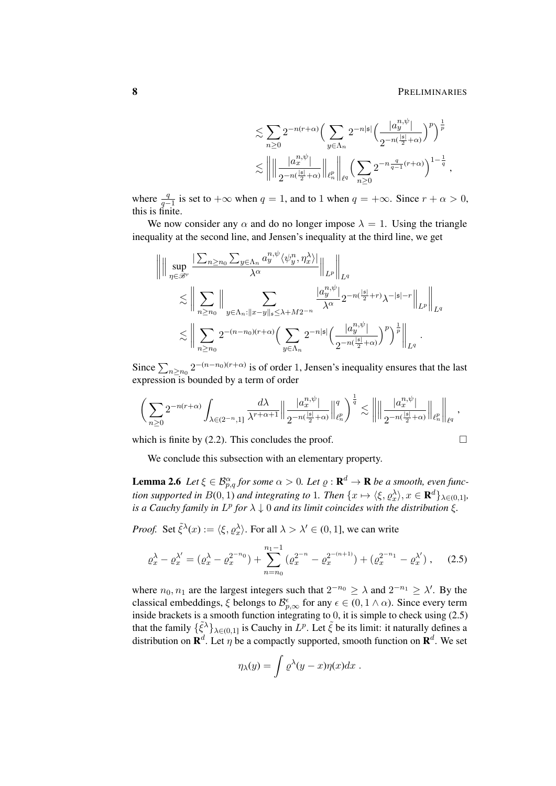$$
\begin{aligned} &\lesssim \sum_{n\geq 0} 2^{-n(r+\alpha)}\Big(\sum_{y\in\Lambda_n} 2^{-n|\mathfrak{s}|}\Big(\frac{|a^{n,\psi}_y|}{2^{-n(\frac{|\mathfrak{s}|}{2}+\alpha)}}\Big)^p\Big)^{\frac{1}{p}}\\ &\lesssim \left\|\Big\|\frac{|a^{n,\psi}_x|}{2^{-n(\frac{|\mathfrak{s}|}{2}+\alpha)}}\Big\|_{\ell^p_n}\right\|_{\ell^q}\Big(\sum_{n\geq 0} 2^{-n\frac{q}{q-1}(r+\alpha)}\Big)^{1-\frac{1}{q}}\;, \end{aligned}
$$

where  $\frac{q}{q-1}$  is set to  $+\infty$  when  $q = 1$ , and to 1 when  $q = +\infty$ . Since  $r + \alpha > 0$ , this is finite.

We now consider any  $\alpha$  and do no longer impose  $\lambda = 1$ . Using the triangle inequality at the second line, and Jensen's inequality at the third line, we get

$$
\|\Big\| \sup_{\eta \in \mathcal{B}^r} \frac{\left| \sum_{n \ge n_0} \sum_{y \in \Lambda_n} a_y^{n, \psi} \langle \psi_y^n, \eta_x^{\lambda} \rangle \right|}{\lambda^{\alpha}} \Big\|_{L^p} \Big\|_{L^q}
$$
  

$$
\lesssim \Big\| \sum_{n \ge n_0} \Big\| \sum_{y \in \Lambda_n : \|x - y\|_{\mathfrak{s}} \le \lambda + M 2^{-n}} \frac{|a_y^{n, \psi}|}{\lambda^{\alpha}} 2^{-n(\frac{|\mathfrak{s}|}{2} + r)} \lambda^{-|\mathfrak{s}| - r} \Big\|_{L^p} \Big\|_{L^q}
$$
  

$$
\lesssim \Big\| \sum_{n \ge n_0} 2^{-(n-n_0)(r+\alpha)} \Big( \sum_{y \in \Lambda_n} 2^{-n|\mathfrak{s}|} \Big( \frac{|a_y^{n, \psi}|}{2^{-n(\frac{|\mathfrak{s}|}{2} + \alpha)}} \Big)^p \Big)^{\frac{1}{p}} \Big\|_{L^q}.
$$

Since  $\sum_{n\geq n_0} 2^{-(n-n_0)(r+\alpha)}$  is of order 1, Jensen's inequality ensures that the last expression is bounded by a term of order

$$
\bigg(\sum_{n\geq 0}2^{-n(r+\alpha)}\int_{\lambda\in (2^{-n},1]}\frac{d\lambda}{\lambda^{r+\alpha+1}}\Big\|\frac{|a^{n,\psi}_x|}{2^{-n(\frac{|\mathfrak{s}|}{2}+\alpha)}}\Big\|_{\ell^p_n}^q\bigg)^{\frac{1}{q}}\lesssim\bigg\|\Big\|\frac{|a^{n,\psi}_x|}{2^{-n(\frac{|\mathfrak{s}|}{2}+\alpha)}}\Big\|_{\ell^p_n}\bigg\|_{\ell^q}\;,
$$

which is finite by  $(2.2)$ . This concludes the proof.

<span id="page-7-0"></span>
$$
\Box
$$

We conclude this subsection with an elementary property.

<span id="page-7-1"></span>**Lemma 2.6** Let  $\xi \in \mathcal{B}_{p,q}^{\alpha}$  for some  $\alpha > 0$ . Let  $\varrho : \mathbf{R}^d \to \mathbf{R}$  be a smooth, even func*tion supported in*  $B(0, 1)$  *and integrating to* 1*. Then*  $\{x \mapsto \langle \xi, \varrho_x^{\lambda} \rangle, x \in \mathbf{R}^d\}_{\lambda \in (0,1]},$ *is a Cauchy family in*  $L^p$  *for*  $\lambda \downarrow 0$  *and its limit coincides with the distribution*  $\xi$ *.* 

*Proof.* Set  $\tilde{\xi}^{\lambda}(x) := \langle \xi, \varrho_{x}^{\lambda} \rangle$ . For all  $\lambda > \lambda' \in (0, 1]$ , we can write

$$
\varrho_x^{\lambda} - \varrho_x^{\lambda'} = (\varrho_x^{\lambda} - \varrho_x^{2^{-n_0}}) + \sum_{n=n_0}^{n_1-1} (\varrho_x^{2^{-n}} - \varrho_x^{2^{-(n+1)}}) + (\varrho_x^{2^{-n_1}} - \varrho_x^{\lambda'}) , \quad (2.5)
$$

where  $n_0, n_1$  are the largest integers such that  $2^{-n_0} \ge \lambda$  and  $2^{-n_1} \ge \lambda'$ . By the classical embeddings,  $\xi$  belongs to  $\mathcal{B}_{p,\infty}^{\epsilon}$  for any  $\epsilon \in (0, 1 \wedge \alpha)$ . Since every term inside brackets is a smooth function integrating to 0, it is simple to check using [\(2.5\)](#page-7-0) that the family  $\{\tilde{\xi}^{\lambda}\}_{\lambda \in (0,1]}$  is Cauchy in  $L^p$ . Let  $\tilde{\xi}$  be its limit: it naturally defines a distribution on  $\mathbf{R}^d$ . Let  $\eta$  be a compactly supported, smooth function on  $\mathbf{R}^d$ . We set

$$
\eta_{\lambda}(y) = \int \varrho^{\lambda}(y-x)\eta(x)dx.
$$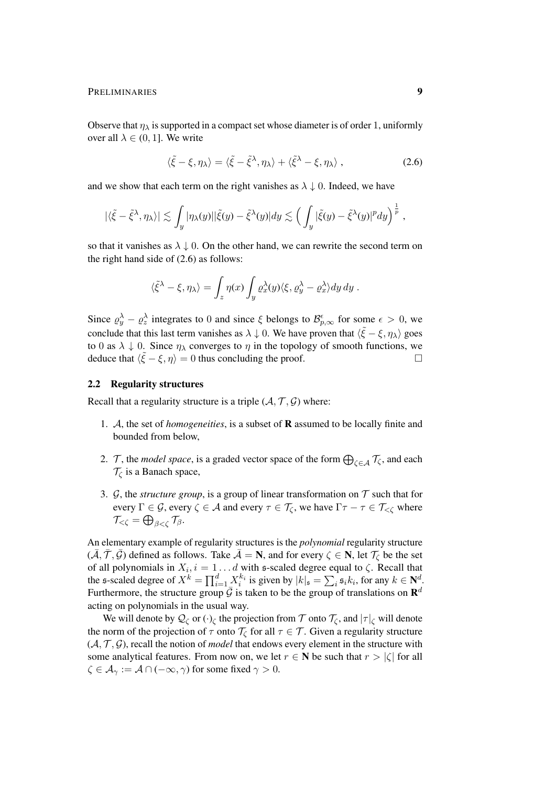Observe that  $\eta_{\lambda}$  is supported in a compact set whose diameter is of order 1, uniformly over all  $\lambda \in (0, 1]$ . We write

<span id="page-8-0"></span>
$$
\langle \tilde{\xi} - \xi, \eta_{\lambda} \rangle = \langle \tilde{\xi} - \tilde{\xi}^{\lambda}, \eta_{\lambda} \rangle + \langle \tilde{\xi}^{\lambda} - \xi, \eta_{\lambda} \rangle , \qquad (2.6)
$$

and we show that each term on the right vanishes as  $\lambda \downarrow 0$ . Indeed, we have

$$
|\langle \tilde{\xi} - \tilde{\xi}^{\lambda}, \eta_{\lambda} \rangle| \lesssim \int_{y} |\eta_{\lambda}(y)| |\tilde{\xi}(y) - \tilde{\xi}^{\lambda}(y)| dy \lesssim \Big( \int_{y} |\tilde{\xi}(y) - \tilde{\xi}^{\lambda}(y)|^{p} dy \Big)^{\frac{1}{p}},
$$

so that it vanishes as  $\lambda \downarrow 0$ . On the other hand, we can rewrite the second term on the right hand side of [\(2.6\)](#page-8-0) as follows:

$$
\langle \tilde{\xi}^{\lambda} - \xi, \eta_{\lambda} \rangle = \int_{z} \eta(x) \int_{y} \varrho_{x}^{\lambda}(y) \langle \xi, \varrho_{y}^{\lambda} - \varrho_{x}^{\lambda} \rangle dy dy.
$$

Since  $\rho_y^{\lambda} - \rho_z^{\lambda}$  integrates to 0 and since  $\xi$  belongs to  $\mathcal{B}_{p,\infty}^{\epsilon}$  for some  $\epsilon > 0$ , we conclude that this last term vanishes as  $\lambda \downarrow 0$ . We have proven that  $\langle \tilde{\xi} - \xi, \eta_{\lambda} \rangle$  goes to 0 as  $\lambda \downarrow 0$ . Since  $\eta_{\lambda}$  converges to  $\eta$  in the topology of smooth functions, we deduce that  $\langle \tilde{\xi} - \xi, \eta \rangle = 0$  thus concluding the proof.

## 2.2 Regularity structures

Recall that a regularity structure is a triple  $(A, \mathcal{T}, \mathcal{G})$  where:

- 1. A, the set of *homogeneities*, is a subset of R assumed to be locally finite and bounded from below,
- 2. T, the *model space*, is a graded vector space of the form  $\bigoplus_{\zeta \in A} \mathcal{T}_{\zeta}$ , and each  $\mathcal{T}_{\zeta}$  is a Banach space,
- 3.  $G$ , the *structure group*, is a group of linear transformation on  $T$  such that for every  $\Gamma \in \mathcal{G}$ , every  $\zeta \in \mathcal{A}$  and every  $\tau \in \mathcal{T}_{\zeta}$ , we have  $\Gamma \tau - \tau \in \mathcal{T}_{\zeta}$  where  $\mathcal{T}_{<<} = \bigoplus_{\beta << \zeta} \mathcal{T}_{\beta}.$

An elementary example of regularity structures is the *polynomial* regularity structure  $(\overline{\mathcal{A}}, \overline{\mathcal{T}}, \overline{\mathcal{G}})$  defined as follows. Take  $\overline{\mathcal{A}} = \mathbf{N}$ , and for every  $\zeta \in \mathbf{N}$ , let  $\mathcal{T}_{\zeta}$  be the set of all polynomials in  $X_i$ ,  $i = 1...d$  with s-scaled degree equal to  $\zeta$ . Recall that the s-scaled degree of  $X^k = \prod_{i=1}^d X_i^{k_i}$  is given by  $|k| = \sum_i s_i k_i$ , for any  $k \in \mathbb{N}^d$ . Furthermore, the structure group  $\overline{G}$  is taken to be the group of translations on  $\mathbb{R}^d$ acting on polynomials in the usual way.

We will denote by  $\mathcal{Q}_\zeta$  or  $(\cdot)_\zeta$  the projection from  $\mathcal T$  onto  $\mathcal T_\zeta$ , and  $|\tau|_\zeta$  will denote the norm of the projection of  $\tau$  onto  $\mathcal{T}_{\zeta}$  for all  $\tau \in \mathcal{T}$ . Given a regularity structure  $(A, \mathcal{T}, \mathcal{G})$ , recall the notion of *model* that endows every element in the structure with some analytical features. From now on, we let  $r \in \mathbb{N}$  be such that  $r > |\zeta|$  for all  $\zeta \in \mathcal{A}_{\gamma} := \mathcal{A} \cap (-\infty, \gamma)$  for some fixed  $\gamma > 0$ .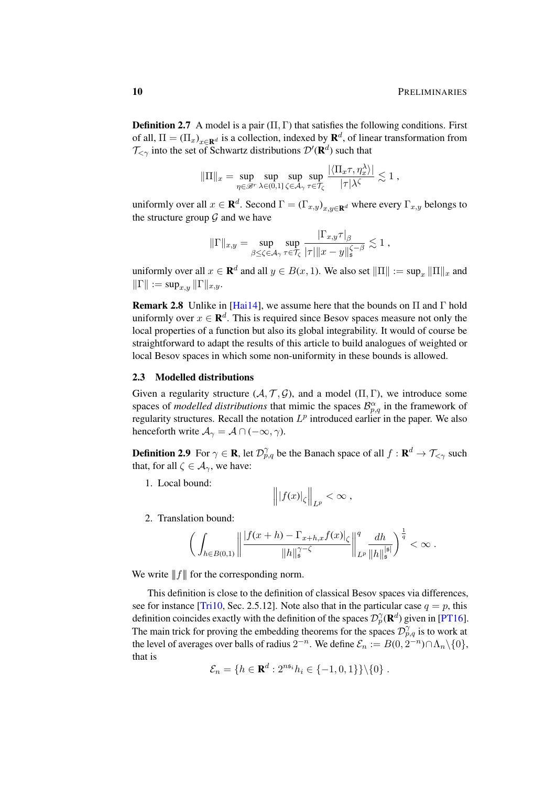**Definition 2.7** A model is a pair  $(\Pi, \Gamma)$  that satisfies the following conditions. First of all,  $\Pi = (\Pi_x)_{x \in \mathbf{R}^d}$  is a collection, indexed by  $\mathbf{R}^d$ , of linear transformation from  $\mathcal{T}_{\leq \gamma}$  into the set of Schwartz distributions  $\mathcal{D}'(\mathbf{R}^d)$  such that

$$
\|\Pi\|_x = \sup_{\eta \in \mathscr{B}^r} \sup_{\lambda \in (0,1]} \sup_{\zeta \in \mathcal{A}_{\gamma}} \sup_{\tau \in \mathcal{T}_{\zeta}} \frac{|\langle \Pi_x \tau, \eta_x^{\lambda} \rangle|}{|\tau|\lambda^{\zeta}} \lesssim 1,
$$

uniformly over all  $x \in \mathbf{R}^d$ . Second  $\Gamma = (\Gamma_{x,y})_{x,y \in \mathbf{R}^d}$  where every  $\Gamma_{x,y}$  belongs to the structure group  $\mathcal G$  and we have

$$
\|\Gamma\|_{x,y} = \sup_{\beta \le \zeta \in \mathcal{A}_{\gamma}} \sup_{\tau \in \mathcal{T}_{\zeta}} \frac{|\Gamma_{x,y}\tau|_{\beta}}{|\tau| \|x-y\|_{\mathfrak{s}}^{\zeta-\beta}} \lesssim 1,
$$

uniformly over all  $x \in \mathbf{R}^d$  and all  $y \in B(x, 1)$ . We also set  $\|\Pi\| := \sup_x \|\Pi\|_x$  and  $\|\Gamma\| := \sup_{x,y} \|\Gamma\|_{x,y}.$ 

**Remark 2.8** Unlike in [\[Hai14\]](#page-34-0), we assume here that the bounds on  $\Pi$  and  $\Gamma$  hold uniformly over  $x \in \mathbf{R}^d$ . This is required since Besov spaces measure not only the local properties of a function but also its global integrability. It would of course be straightforward to adapt the results of this article to build analogues of weighted or local Besov spaces in which some non-uniformity in these bounds is allowed.

#### 2.3 Modelled distributions

Given a regularity structure  $(A, \mathcal{T}, \mathcal{G})$ , and a model  $(\Pi, \Gamma)$ , we introduce some spaces of *modelled distributions* that mimic the spaces  $\mathcal{B}_{p,q}^{\alpha}$  in the framework of regularity structures. Recall the notation  $L^p$  introduced earlier in the paper. We also henceforth write  $\mathcal{A}_{\gamma} = \mathcal{A} \cap (-\infty, \gamma)$ .

<span id="page-9-0"></span>**Definition 2.9** For  $\gamma \in \mathbf{R}$ , let  $\mathcal{D}_{p,q}^{\gamma}$  be the Banach space of all  $f : \mathbf{R}^d \to \mathcal{T}_{\leq \gamma}$  such that, for all  $\zeta \in \mathcal{A}_{\gamma}$ , we have:

1. Local bound:

$$
\left\| |f(x)|_{\zeta} \right\|_{L^p} < \infty ,
$$

2. Translation bound:

$$
\left(\int_{h\in B(0,1)} \left\|\frac{|f(x+h)-\Gamma_{x+h,x}f(x)|_{\zeta}}{\|h\|_{\mathfrak{s}}^{\gamma-\zeta}}\right\|_{L^p}^q \frac{dh}{\|h\|_{\mathfrak{s}}^{|s|}}\right)^{\frac{1}{q}} < \infty.
$$

We write  $|| f ||$  for the corresponding norm.

This definition is close to the definition of classical Besov spaces via differences, see for instance [\[Tri10,](#page-35-3) Sec. 2.5.12]. Note also that in the particular case  $q = p$ , this definition coincides exactly with the definition of the spaces  $\mathcal{D}_p^{\gamma}(\mathbf{R}^d)$  given in [\[PT16\]](#page-35-1). The main trick for proving the embedding theorems for the spaces  $\mathcal{D}_{p,q}^{\gamma}$  is to work at the level of averages over balls of radius  $2^{-n}$ . We define  $\mathcal{E}_n := B(0, 2^{-n}) \cap \Lambda_n \backslash \{0\}$ , that is

<span id="page-9-1"></span>
$$
\mathcal{E}_n = \{ h \in \mathbf{R}^d : 2^{n\mathfrak{s}_i} h_i \in \{-1, 0, 1\} \} \setminus \{0\} .
$$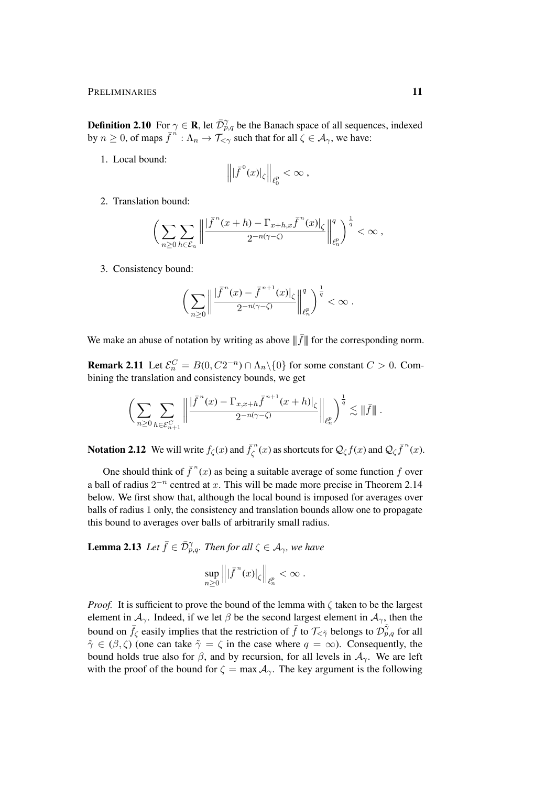**Definition 2.10** For  $\gamma \in \mathbf{R}$ , let  $\overline{\mathcal{D}}_{p,q}^{\gamma}$  be the Banach space of all sequences, indexed by  $n \geq 0$ , of maps  $\overline{f}^n : \Lambda_n \to \overline{\mathcal{I}}_{\leq \gamma}$  such that for all  $\zeta \in \mathcal{A}_{\gamma}$ , we have:

1. Local bound:

$$
\left\| |\bar{f}^{\,0}(x)|_{\zeta} \right\|_{\ell^p_0} < \infty ,
$$

2. Translation bound:

$$
\bigg(\sum_{n\geq 0}\sum_{h\in\mathcal{E}_n}\bigg\|\frac{|\bar f^n(x+h)-\Gamma_{x+h,x}\bar f^n(x)|_{\zeta}}{2^{-n(\gamma-\zeta)}}\bigg\|_{\ell^p_n}^q\bigg)^{\frac{1}{q}}<\infty,
$$

3. Consistency bound:

$$
\bigg(\sum_{n\geq 0}\left\|\frac{|\bar f^n(x)-\bar f^{n+1}(x)|_\zeta}{2^{-n(\gamma-\zeta)}}\right\|_{\ell^p_n}^q\bigg)^{\frac{1}{q}}<\infty\;.
$$

We make an abuse of notation by writing as above  $\|\bar{f}\|$  for the corresponding norm.

<span id="page-10-0"></span>**Remark 2.11** Let  $\mathcal{E}_n^C = B(0, C2^{-n}) \cap \Lambda_n \backslash \{0\}$  for some constant  $C > 0$ . Combining the translation and consistency bounds, we get

$$
\bigg(\sum_{n\geq 0}\sum_{h\in\mathcal{E}_{n+1}^C}\bigg\|\frac{|\bar{f}^n(x)-\Gamma_{x,x+h}\bar{f}^{n+1}(x+h)|_{\zeta}}{2^{-n(\gamma-\zeta)}}\bigg\|_{\ell^p_n}\bigg)^{\frac{1}{q}}\lesssim \|\bar{f}\|.
$$

**Notation 2.12** We will write  $f_{\zeta}(x)$  and  $\overline{f}_{\zeta}^{n}$  $\frac{\partial \overline{z}}{\partial \zeta}(x)$  as shortcuts for  $\mathcal{Q}_{\zeta}f(x)$  and  $\mathcal{Q}_{\zeta}\overline{f}^{\,n}(x)$ .

One should think of  $\bar{f}^n(x)$  as being a suitable average of some function f over a ball of radius  $2^{-n}$  centred at x. This will be made more precise in Theorem [2.14](#page-11-0) below. We first show that, although the local bound is imposed for averages over balls of radius 1 only, the consistency and translation bounds allow one to propagate this bound to averages over balls of arbitrarily small radius.

<span id="page-10-1"></span>**Lemma 2.13** Let  $\bar{f} \in \bar{\mathcal{D}}_{p,q}^{\gamma}$ . Then for all  $\zeta \in \mathcal{A}_{\gamma}$ , we have

$$
\sup_{n\geq 0}\left\|\left|\bar{f}^n(x)\right|_{\zeta}\right\|_{\ell^p_n}<\infty.
$$

*Proof.* It is sufficient to prove the bound of the lemma with  $\zeta$  taken to be the largest element in  $A_{\gamma}$ . Indeed, if we let  $\beta$  be the second largest element in  $A_{\gamma}$ , then the bound on  $\bar{f}_\zeta$  easily implies that the restriction of  $\bar{f}$  to  $\mathcal{T}_{< \tilde{\gamma}}$  belongs to  $\mathcal{D}_{p,q}^{\tilde{\gamma}}$  for all  $\tilde{\gamma} \in (\beta, \zeta)$  (one can take  $\tilde{\gamma} = \zeta$  in the case where  $q = \infty$ ). Consequently, the bound holds true also for  $\beta$ , and by recursion, for all levels in  $A_{\gamma}$ . We are left with the proof of the bound for  $\zeta = \max A_{\gamma}$ . The key argument is the following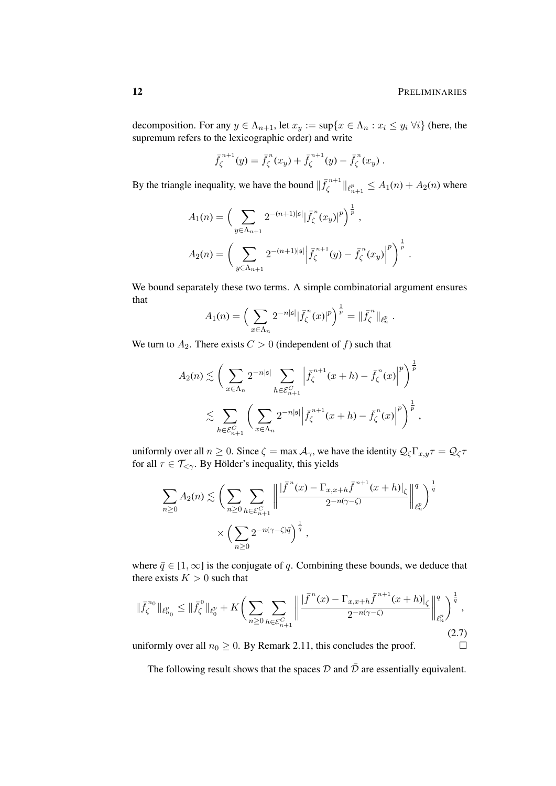decomposition. For any  $y \in \Lambda_{n+1}$ , let  $x_y := \sup\{x \in \Lambda_n : x_i \leq y_i \,\forall i\}$  (here, the supremum refers to the lexicographic order) and write

$$
\bar{f}_{\zeta}^{n+1}(y) = \bar{f}_{\zeta}^{n}(x_y) + \bar{f}_{\zeta}^{n+1}(y) - \bar{f}_{\zeta}^{n}(x_y).
$$

By the triangle inequality, we have the bound  $\|\bar{f}_c^{n+1}\|$  $\| \ell_{n+1}^p \leq A_1(n) + A_2(n)$  where

$$
A_1(n) = \left(\sum_{y \in \Lambda_{n+1}} 2^{-(n+1)|\mathfrak{s}|} |\bar{f}_{\zeta}^n(x_y)|^p\right)^{\frac{1}{p}},
$$
  

$$
A_2(n) = \left(\sum_{y \in \Lambda_{n+1}} 2^{-(n+1)|\mathfrak{s}|} |\bar{f}_{\zeta}^{n+1}(y) - \bar{f}_{\zeta}^n(x_y)|^p\right)^{\frac{1}{p}}.
$$

We bound separately these two terms. A simple combinatorial argument ensures that

$$
A_1(n) = \left(\sum_{x \in \Lambda_n} 2^{-n|\mathfrak{s}|} |\bar{f}_{\zeta}^n(x)|^p\right)^{\frac{1}{p}} = ||\bar{f}_{\zeta}^n||_{\ell_n^p}.
$$

We turn to  $A_2$ . There exists  $C > 0$  (independent of f) such that

$$
A_2(n) \lesssim \left( \sum_{x \in \Lambda_n} 2^{-n|\mathfrak{s}|} \sum_{h \in \mathcal{E}_{n+1}^C} \left| \bar{f}_{\zeta}^{n+1}(x+h) - \bar{f}_{\zeta}^n(x) \right|^p \right)^{\frac{1}{p}} \lesssim \sum_{h \in \mathcal{E}_{n+1}^C} \left( \sum_{x \in \Lambda_n} 2^{-n|\mathfrak{s}|} \left| \bar{f}_{\zeta}^{n+1}(x+h) - \bar{f}_{\zeta}^n(x) \right|^p \right)^{\frac{1}{p}},
$$

uniformly over all  $n \geq 0$ . Since  $\zeta = \max A_\gamma$ , we have the identity  $\mathcal{Q}_\zeta \Gamma_{x,y} \tau = \mathcal{Q}_\zeta \tau$ for all  $\tau \in \mathcal{T}_{\leq \gamma}$ . By Hölder's inequality, this yields

$$
\sum_{n\geq 0} A_2(n) \lesssim \left( \sum_{n\geq 0} \sum_{h\in \mathcal{E}_{n+1}^C} \left\| \frac{|\bar{f}^n(x) - \Gamma_{x,x+h}\bar{f}^{n+1}(x+h)|_{\zeta}}{2^{-n(\gamma-\zeta)}} \right\|_{\ell^p_n}^q \right)^{\frac{1}{q}}
$$

$$
\times \left( \sum_{n\geq 0} 2^{-n(\gamma-\zeta)\bar{q}} \right)^{\frac{1}{\bar{q}}},
$$

where  $\bar{q} \in [1, \infty]$  is the conjugate of q. Combining these bounds, we deduce that there exists  $K > 0$  such that

$$
\|\bar{f}_{\zeta}^{n_0}\|_{\ell^p_{n_0}} \le \|\bar{f}_{\zeta}^0\|_{\ell^p_0} + K \bigg(\sum_{n\geq 0} \sum_{h \in \mathcal{E}_{n+1}^C} \bigg\| \frac{|\bar{f}^n(x) - \Gamma_{x,x+h}\bar{f}^{n+1}(x+h)|_{\zeta}}{2^{-n(\gamma-\zeta)}} \bigg\|_{\ell^p_n}^q \bigg)^{\frac{1}{q}},
$$
\n(2.7)

uniformly over all  $n_0 \geq 0$ . By Remark [2.11,](#page-10-0) this concludes the proof.

<span id="page-11-0"></span>The following result shows that the spaces  $\mathcal D$  and  $\bar{\mathcal D}$  are essentially equivalent.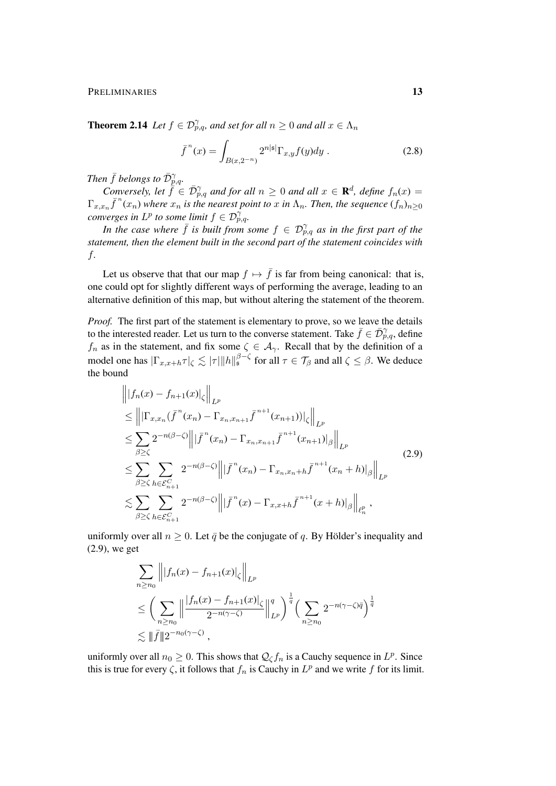**Theorem 2.14** *Let*  $f \in \mathcal{D}_{p,q}^{\gamma}$ , and set for all  $n \geq 0$  and all  $x \in \Lambda_n$ 

<span id="page-12-1"></span>
$$
\bar{f}^{n}(x) = \int_{B(x,2^{-n})} 2^{n|s|} \Gamma_{x,y} f(y) dy . \qquad (2.8)
$$

*Then*  $\bar{f}$  *belongs to*  $\bar{\mathcal{D}}_{p,q}^{\gamma}$ .

*Conversely, let*  $\bar{f} \in \bar{\mathcal{D}}_{p,q}^{\gamma}$  *and for all*  $n \geq 0$  *and all*  $x \in \mathbf{R}^d$ , *define*  $f_n(x) =$  $\Gamma_{x,x_n} \bar{f}^{\,n}(x_n)$  where  $x_n$  is the nearest point to  $x$  in  $\Lambda_n$ . Then, the sequence  $(f_n)_{n\geq 0}$ *converges in*  $L^p$  to some limit  $f \in \mathcal{D}_{p,q}^{\gamma}$ .

*In the case where*  $\bar{f}$  *is built from some*  $f \in \mathcal{D}_{p,q}^{\gamma}$  *as in the first part of the statement, then the element built in the second part of the statement coincides with* f*.*

Let us observe that that our map  $f \mapsto \bar{f}$  is far from being canonical: that is, one could opt for slightly different ways of performing the average, leading to an alternative definition of this map, but without altering the statement of the theorem.

*Proof.* The first part of the statement is elementary to prove, so we leave the details to the interested reader. Let us turn to the converse statement. Take  $\bar{f} \in \bar{\mathcal{D}}_{p,q}^{\gamma}$ , define  $f_n$  as in the statement, and fix some  $\zeta \in \mathcal{A}_{\gamma}$ . Recall that by the definition of a model one has  $|\Gamma_{x,x+h}\tau|_{\zeta} \lesssim |\tau| \|h\|_{\mathfrak{s}}^{\beta-\zeta}$  for all  $\tau \in \mathcal{T}_{\beta}$  and all  $\zeta \leq \beta$ . We deduce the bound

<span id="page-12-0"></span>
$$
\| |f_n(x) - f_{n+1}(x)|_{\zeta} \|_{L^p}
$$
\n
$$
\leq \| |\Gamma_{x,x_n}(\bar{f}^n(x_n) - \Gamma_{x_n,x_{n+1}}\bar{f}^{n+1}(x_{n+1}))|_{\zeta} \|_{L^p}
$$
\n
$$
\leq \sum_{\beta \geq \zeta} 2^{-n(\beta-\zeta)} \| |\bar{f}^n(x_n) - \Gamma_{x_n,x_{n+1}}\bar{f}^{n+1}(x_{n+1})|_{\beta} \|_{L^p}
$$
\n
$$
\leq \sum_{\beta \geq \zeta} \sum_{h \in \mathcal{E}_{n+1}^C} 2^{-n(\beta-\zeta)} \| |\bar{f}^n(x_n) - \Gamma_{x_n,x_n+h}\bar{f}^{n+1}(x_n+h)|_{\beta} \|_{L^p}
$$
\n
$$
\lesssim \sum_{\beta \geq \zeta} \sum_{h \in \mathcal{E}_{n+1}^C} 2^{-n(\beta-\zeta)} \| |\bar{f}^n(x) - \Gamma_{x,x+h}\bar{f}^{n+1}(x+h)|_{\beta} \|_{\ell^p_n},
$$
\n(2.9)

uniformly over all  $n \geq 0$ . Let  $\bar{q}$  be the conjugate of q. By Hölder's inequality and [\(2.9\)](#page-12-0), we get

$$
\sum_{n\geq n_0} \left\| |f_n(x) - f_{n+1}(x)|_{\zeta} \right\|_{L^p}
$$
\n
$$
\leq \left( \sum_{n\geq n_0} \left\| \frac{|f_n(x) - f_{n+1}(x)|_{\zeta}}{2^{-n(\gamma - \zeta)}} \right\|_{L^p}^q \right)^{\frac{1}{q}} \left( \sum_{n\geq n_0} 2^{-n(\gamma - \zeta)\overline{q}} \right)^{\frac{1}{\overline{q}}}
$$
\n
$$
\lesssim \|\bar{f}\| 2^{-n_0(\gamma - \zeta)},
$$

uniformly over all  $n_0 \geq 0$ . This shows that  $\mathcal{Q}_{\zeta} f_n$  is a Cauchy sequence in  $L^p$ . Since this is true for every  $\zeta$ , it follows that  $f_n$  is Cauchy in  $L^p$  and we write f for its limit.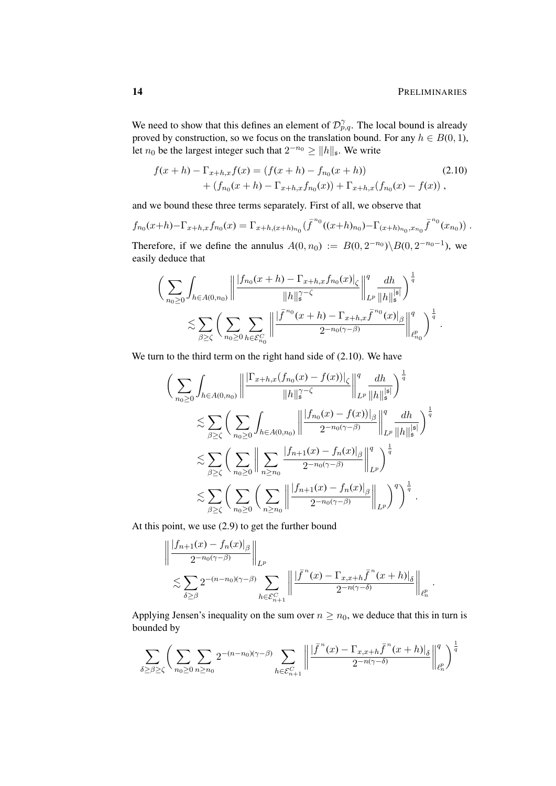.

We need to show that this defines an element of  $\mathcal{D}_{p,q}^{\gamma}$ . The local bound is already proved by construction, so we focus on the translation bound. For any  $h \in B(0, 1)$ , let  $n_0$  be the largest integer such that  $2^{-n_0} \ge ||h||_{\mathfrak{s}}$ . We write

<span id="page-13-0"></span>
$$
f(x+h) - \Gamma_{x+h,x} f(x) = (f(x+h) - f_{n_0}(x+h))
$$
  
+  $(f_{n_0}(x+h) - \Gamma_{x+h,x} f_{n_0}(x)) + \Gamma_{x+h,x} (f_{n_0}(x) - f(x)),$  (2.10)

and we bound these three terms separately. First of all, we observe that

$$
f_{n_0}(x+h)-\Gamma_{x+h,x}f_{n_0}(x)=\Gamma_{x+h,(x+h)_{n_0}}(\bar{f}^{n_0}((x+h)_{n_0})-\Gamma_{(x+h)_{n_0},x_{n_0}}\bar{f}^{n_0}(x_{n_0}))
$$

Therefore, if we define the annulus  $A(0, n_0) := B(0, 2^{-n_0}) \setminus B(0, 2^{-n_0-1})$ , we easily deduce that

$$
\left(\sum_{n_0\geq 0}\int_{h\in A(0,n_0)}\left\|\frac{|f_{n_0}(x+h)-\Gamma_{x+h,x}f_{n_0}(x)|_{\zeta}}{\|h\|_{\mathfrak{s}}^{\gamma-\zeta}}\right\|_{L^p}\frac{dh}{\|h\|_{\mathfrak{s}}^{|\mathfrak{s}|}}\right)^{\frac{1}{q}}\nless\sum_{\beta\geq\zeta}\left(\sum_{n_0\geq 0}\sum_{h\in\mathcal{E}_{n_0}^C}\left\|\frac{|\bar{f}^{n_0}(x+h)-\Gamma_{x+h,x}\bar{f}^{n_0}(x)|_{\beta}}{2^{-n_0(\gamma-\beta)}}\right\|_{\ell^p_{n_0}}^q\right)^{\frac{1}{q}}.
$$

We turn to the third term on the right hand side of  $(2.10)$ . We have

$$
\left(\sum_{n_{0}\geq 0} \int_{h\in A(0,n_{0})} \left\| \frac{|\Gamma_{x+h,x}(f_{n_{0}}(x)-f(x))|_{\zeta}}{\|h\|_{s}^{\gamma-\zeta}} \right\|_{L^{p}}^{q} \frac{dh}{\|h\|_{s}^{|\mathfrak{s}|}} \right)^{\frac{1}{q}} \lesssim \sum_{\beta\geq \zeta} \left(\sum_{n_{0}\geq 0} \int_{h\in A(0,n_{0})} \left\| \frac{|f_{n_{0}}(x)-f(x)|_{\beta}}{2^{-n_{0}(\gamma-\beta)}} \right\|_{L^{p}}^{q} \frac{dh}{\|h\|_{s}^{|\mathfrak{s}|}} \right)^{\frac{1}{q}} \lesssim \sum_{\beta\geq \zeta} \left(\sum_{n_{0}\geq 0} \left\| \sum_{n\geq n_{0}} \frac{|f_{n+1}(x)-f_{n}(x)|_{\beta}}{2^{-n_{0}(\gamma-\beta)}} \right\|_{L^{p}}^{q} \right)^{\frac{1}{q}} \lesssim \sum_{\beta\geq \zeta} \left(\sum_{n_{0}\geq 0} \left(\sum_{n\geq n_{0}} \left\| \frac{|f_{n+1}(x)-f_{n}(x)|_{\beta}}{2^{-n_{0}(\gamma-\beta)}} \right\|_{L^{p}} \right)^{q} \right)^{\frac{1}{q}}.
$$

At this point, we use [\(2.9\)](#page-12-0) to get the further bound

$$
\left\| \frac{|f_{n+1}(x) - f_n(x)|_{\beta}}{2^{-n_0(\gamma-\beta)}} \right\|_{L^p}
$$
  
\$\lesssim \sum\_{\delta \ge \beta} 2^{-(n-n\_0)(\gamma-\beta)} \sum\_{h \in \mathcal{E}\_{n+1}^C} \left\| \frac{|\bar{f}^n(x) - \Gamma\_{x,x+h}\bar{f}^n(x+h)|\_{\delta}}{2^{-n(\gamma-\delta)}} \right\|\_{\ell^p\_n}

Applying Jensen's inequality on the sum over  $n \ge n_0$ , we deduce that this in turn is bounded by

$$
\sum_{\delta \ge \beta \ge \zeta} \bigg( \sum_{n_0 \ge 0} \sum_{n \ge n_0} 2^{-(n-n_0)(\gamma-\beta)} \sum_{h \in \mathcal{E}_{n+1}^C} \bigg\| \frac{|\bar{f}^n(x) - \Gamma_{x,x+h}\bar{f}^n(x+h)|_{\delta}}{2^{-n(\gamma-\delta)}} \bigg\|_{\ell_n^p}^q \bigg)^{\frac{1}{q}}
$$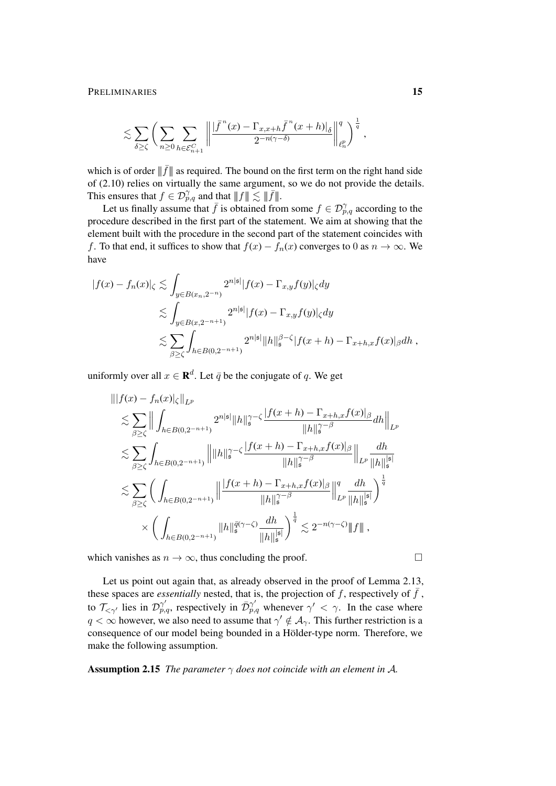$$
\lesssim \sum_{\delta \ge \zeta} \left( \sum_{n \ge 0} \sum_{h \in \mathcal{E}_{n+1}^C} \left\| \frac{|\bar{f}^{\,n}(x) - \Gamma_{x,x+h} \bar{f}^{\,n}(x+h)|_{\delta}}{2^{-n(\gamma-\delta)}} \right\|_{\ell^p_n}^q \right)^{\frac{1}{q}},
$$

which is of order  $\|\bar{f}\|$  as required. The bound on the first term on the right hand side of [\(2.10\)](#page-13-0) relies on virtually the same argument, so we do not provide the details. This ensures that  $f \in \mathcal{D}_{p,q}^{\gamma}$  and that  $|| f || \lesssim || \overline{f} ||$ .

Let us finally assume that  $\bar{f}$  is obtained from some  $f \in \mathcal{D}_{p,q}^{\gamma}$  according to the procedure described in the first part of the statement. We aim at showing that the element built with the procedure in the second part of the statement coincides with f. To that end, it suffices to show that  $f(x) - f_n(x)$  converges to 0 as  $n \to \infty$ . We have

$$
|f(x) - f_n(x)|_\zeta \lesssim \int_{y \in B(x_n, 2^{-n})} 2^{n|\mathfrak{s}|} |f(x) - \Gamma_{x,y} f(y)|_\zeta dy
$$
  

$$
\lesssim \int_{y \in B(x, 2^{-n+1})} 2^{n|\mathfrak{s}|} |f(x) - \Gamma_{x,y} f(y)|_\zeta dy
$$
  

$$
\lesssim \sum_{\beta \ge \zeta} \int_{h \in B(0, 2^{-n+1})} 2^{n|\mathfrak{s}|} ||h||_\mathfrak{s}^{\beta - \zeta} |f(x+h) - \Gamma_{x+h,x} f(x)|_\beta dh,
$$

uniformly over all  $x \in \mathbf{R}^d$ . Let  $\bar{q}$  be the conjugate of q. We get

$$
\| |f(x) - f_n(x)|_{\zeta} \|_{L^p}
$$
  
\n
$$
\lesssim \sum_{\beta \ge \zeta} \left\| \int_{h \in B(0, 2^{-n+1})} 2^{n|s|} \|h\|_{\mathfrak{s}}^{\gamma - \zeta} \frac{|f(x+h) - \Gamma_{x+h,x} f(x)|_{\beta}}{\|h\|_{\mathfrak{s}}^{\gamma - \beta}} dh \right\|_{L^p}
$$
  
\n
$$
\lesssim \sum_{\beta \ge \zeta} \int_{h \in B(0, 2^{-n+1})} \| \|h\|_{\mathfrak{s}}^{\gamma - \zeta} \frac{|f(x+h) - \Gamma_{x+h,x} f(x)|_{\beta}}{\|h\|_{\mathfrak{s}}^{\gamma - \beta}} \|_{L^p} \frac{dh}{\|h\|_{\mathfrak{s}}^{\gamma}}
$$
  
\n
$$
\lesssim \sum_{\beta \ge \zeta} \left( \int_{h \in B(0, 2^{-n+1})} \| \frac{|f(x+h) - \Gamma_{x+h,x} f(x)|_{\beta}}{\|h\|_{\mathfrak{s}}^{\gamma - \beta}} \right\|_{L^p}^q \frac{dh}{\|h\|_{\mathfrak{s}}^{\gamma}} \right)^{\frac{1}{q}}
$$
  
\n
$$
\times \left( \int_{h \in B(0, 2^{-n+1})} \|h\|_{\mathfrak{s}}^{\frac{q}{q}} \gamma - \zeta \frac{dh}{\|h\|_{\mathfrak{s}}^{\gamma - \beta}} \right)^{\frac{1}{q}} \lesssim 2^{-n(\gamma - \zeta)} \|f\|,
$$

which vanishes as  $n \to \infty$ , thus concluding the proof.

Let us point out again that, as already observed in the proof of Lemma [2.13,](#page-10-1) these spaces are *essentially* nested, that is, the projection of f, respectively of  $\bar{f}$ , to  $\mathcal{T}_{\leq \gamma'}$  lies in  $\mathcal{D}_{p,q}^{\gamma'}$ , respectively in  $\mathcal{D}_{p,q}^{\gamma'}$  whenever  $\gamma' < \gamma$ . In the case where  $q < \infty$  however, we also need to assume that  $\gamma' \notin A_{\gamma}$ . This further restriction is a consequence of our model being bounded in a Hölder-type norm. Therefore, we make the following assumption.

<span id="page-14-0"></span>**Assumption 2.15** *The parameter*  $\gamma$  *does not coincide with an element in* A.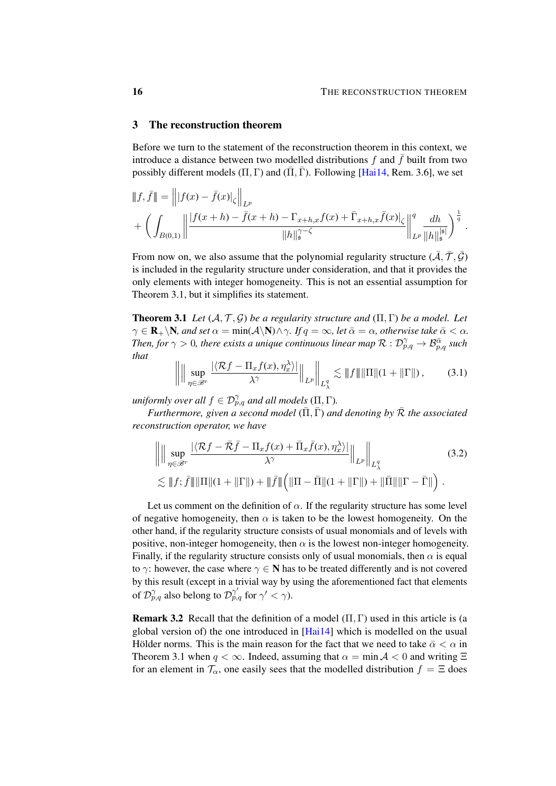## <span id="page-15-0"></span>3 The reconstruction theorem

Before we turn to the statement of the reconstruction theorem in this context, we introduce a distance between two modelled distributions  $f$  and  $f$  built from two possibly different models  $(\Pi, \Gamma)$  and  $(\overline{\Pi}, \overline{\Gamma})$ . Following [\[Hai14,](#page-34-0) Rem. 3.6], we set

$$
\|f,\bar{f}\| = \left\| |f(x) - \bar{f}(x)|_{\zeta} \right\|_{L^p} + \left( \int_{B(0,1)} \left\| \frac{|f(x+h) - \bar{f}(x+h) - \Gamma_{x+h,x}f(x) + \bar{\Gamma}_{x+h,x} \bar{f}(x)|_{\zeta}}{\|h\|_{\mathfrak{s}}^{\gamma-\zeta}} \right\|_{L^p}^q \frac{dh}{\|h\|_{\mathfrak{s}}^{\,|\mathfrak{s}|}} \right)^{\frac{1}{q}}.
$$

From now on, we also assume that the polynomial regularity structure  $(\bar{A}, \bar{T}, \bar{G})$ is included in the regularity structure under consideration, and that it provides the only elements with integer homogeneity. This is not an essential assumption for Theorem [3.1,](#page-15-1) but it simplifies its statement.

<span id="page-15-1"></span>**Theorem 3.1** *Let*  $(A, \mathcal{T}, \mathcal{G})$  *be a regularity structure and*  $(\Pi, \Gamma)$  *be a model. Let*  $\gamma \in \mathbf{R}_+ \backslash \mathbf{N}$ *, and set*  $\alpha = \min(\mathcal{A} \backslash \mathbf{N}) \wedge \gamma$ *. If*  $q = \infty$ *, let*  $\bar{\alpha} = \alpha$ *, otherwise take*  $\bar{\alpha} < \alpha$ *.* Then, for  $\gamma > 0$ , there exists a unique continuous linear map  $\mathcal{R}: \mathcal{D}_{p,q}^{\gamma} \to \mathcal{B}_{p,q}^{\bar{\alpha}}$  such *that*

<span id="page-15-3"></span><span id="page-15-2"></span>
$$
\left\| \left\| \sup_{\eta \in \mathcal{B}^r} \frac{|\langle \mathcal{R}f - \Pi_x f(x), \eta_x^{\lambda} \rangle|}{\lambda^{\gamma}} \right\|_{L^p} \right\|_{L^q} \lesssim \|f\| \|\Pi\|(1 + \|\Gamma\|), \tag{3.1}
$$

*uniformly over all*  $f \in \mathcal{D}_{p,q}^{\gamma}$  *and all models* ( $\Pi, \Gamma$ ).

*Furthermore, given a second model*  $(\overline{\Pi}, \overline{\Gamma})$  *and denoting by*  $\overline{\mathcal{R}}$  *the associated reconstruction operator, we have*

$$
\left\| \left\| \sup_{\eta \in \mathcal{B}^r} \frac{|\langle \mathcal{R}f - \bar{\mathcal{R}}\bar{f} - \Pi_x f(x) + \bar{\Pi}_x \bar{f}(x), \eta_x^{\lambda} \rangle|}{\lambda^{\gamma}} \right\|_{L^p} \right\|_{L^q} \tag{3.2}
$$
  

$$
\lesssim \|f; \bar{f}\| \|\Pi\|(1 + \|\Gamma\|) + \|\bar{f}\| \left( \|\Pi - \bar{\Pi}\|(1 + \|\Gamma\|) + \|\bar{\Pi}\|\|\Gamma - \bar{\Gamma}\| \right).
$$

Let us comment on the definition of  $\alpha$ . If the regularity structure has some level of negative homogeneity, then  $\alpha$  is taken to be the lowest homogeneity. On the other hand, if the regularity structure consists of usual monomials and of levels with positive, non-integer homogeneity, then  $\alpha$  is the lowest non-integer homogeneity. Finally, if the regularity structure consists only of usual monomials, then  $\alpha$  is equal to  $\gamma$ : however, the case where  $\gamma \in \mathbb{N}$  has to be treated differently and is not covered by this result (except in a trivial way by using the aforementioned fact that elements of  $\mathcal{D}_{p,q}^{\gamma}$  also belong to  $\mathcal{D}_{p,q}^{\gamma'}$  for  $\gamma' < \gamma$ ).

**Remark 3.2** Recall that the definition of a model  $(\Pi, \Gamma)$  used in this article is (a global version of) the one introduced in [\[Hai14\]](#page-34-0) which is modelled on the usual Hölder norms. This is the main reason for the fact that we need to take  $\bar{\alpha} < \alpha$  in Theorem [3.1](#page-15-1) when  $q < \infty$ . Indeed, assuming that  $\alpha = \min A < 0$  and writing  $\Xi$ for an element in  $\mathcal{T}_{\alpha}$ , one easily sees that the modelled distribution  $f = \Xi$  does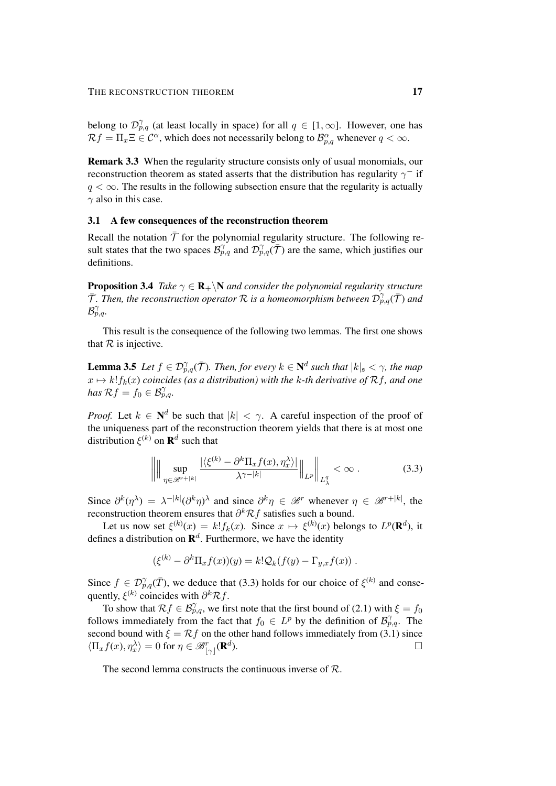belong to  $\mathcal{D}_{p,q}^{\gamma}$  (at least locally in space) for all  $q \in [1,\infty]$ . However, one has  $\mathcal{R}f = \Pi_x \Xi \in \mathcal{C}^{\alpha}$ , which does not necessarily belong to  $\mathcal{B}^{\alpha}_{p,q}$  whenever  $q < \infty$ .

Remark 3.3 When the regularity structure consists only of usual monomials, our reconstruction theorem as stated asserts that the distribution has regularity  $\gamma^-$  if  $q < \infty$ . The results in the following subsection ensure that the regularity is actually  $\gamma$  also in this case.

## 3.1 A few consequences of the reconstruction theorem

Recall the notation  $\bar{\mathcal{T}}$  for the polynomial regularity structure. The following result states that the two spaces  $\mathcal{B}_{p,q}^{\gamma}$  and  $\mathcal{D}_{p,q}^{\gamma}(\bar{\mathcal{T}})$  are the same, which justifies our definitions.

**Proposition 3.4** *Take*  $\gamma \in \mathbf{R}_+ \backslash \mathbf{N}$  *and consider the polynomial regularity structure*  $\bar{\mathcal{T}}$ . Then, the reconstruction operator R is a homeomorphism between  $\mathcal{D}_{p,q}^{\gamma}(\bar{\mathcal{T}})$  and B γ p,q*.*

This result is the consequence of the following two lemmas. The first one shows that  $R$  is injective.

<span id="page-16-1"></span>**Lemma 3.5** Let  $f \in \mathcal{D}_{p,q}^{\gamma}(\overline{\mathcal{T}})$ . Then, for every  $k \in \mathbb{N}^d$  such that  $|k|_{\mathfrak{s}} < \gamma$ , the map  $x \mapsto k! f_k(x)$  *coincides (as a distribution) with the k-th derivative of*  $\mathcal{R}f$ *, and one has*  $\mathcal{R}f = f_0 \in \mathcal{B}_{p,q}^{\gamma}$ .

*Proof.* Let  $k \in \mathbb{N}^d$  be such that  $|k| < \gamma$ . A careful inspection of the proof of the uniqueness part of the reconstruction theorem yields that there is at most one distribution  $\xi^{(k)}$  on  $\mathbf{R}^d$  such that

<span id="page-16-0"></span>
$$
\left\| \left\| \sup_{\eta \in \mathcal{B}^{r+|k|}} \frac{|\langle \xi^{(k)} - \partial^k \Pi_x f(x), \eta_\chi^\lambda \rangle|}{\lambda^{\gamma - |k|}} \right\|_{L^p} \right\|_{L^q_\lambda} < \infty. \tag{3.3}
$$

Since  $\partial^k(\eta^{\lambda}) = \lambda^{-|k|}(\partial^k \eta)^{\lambda}$  and since  $\partial^k \eta \in \mathcal{B}^r$  whenever  $\eta \in \mathcal{B}^{r+|k|}$ , the reconstruction theorem ensures that  $\partial^k \mathcal{R} f$  satisfies such a bound.

Let us now set  $\xi^{(k)}(x) = k! f_k(x)$ . Since  $x \mapsto \xi^{(k)}(x)$  belongs to  $L^p(\mathbf{R}^d)$ , it defines a distribution on  $\mathbf{R}^{d}$ . Furthermore, we have the identity

$$
(\xi^{(k)} - \partial^k \Pi_x f(x))(y) = k! \mathcal{Q}_k(f(y) - \Gamma_{y,x} f(x)) \ .
$$

Since  $f \in \mathcal{D}_{p,q}^{\gamma}(\bar{T})$ , we deduce that [\(3.3\)](#page-16-0) holds for our choice of  $\xi^{(k)}$  and consequently,  $\xi^{(k)}$  coincides with  $\partial^k \mathcal{R} f$ .

To show that  $\mathcal{R}f \in \mathcal{B}_{p,q}^{\gamma}$ , we first note that the first bound of [\(2.1\)](#page-3-1) with  $\xi = f_0$ follows immediately from the fact that  $f_0 \in L^p$  by the definition of  $\mathcal{B}_{p,q}^{\gamma}$ . The second bound with  $\xi = \mathcal{R}f$  on the other hand follows immediately from [\(3.1\)](#page-15-2) since  $\langle \Pi_x f(x), \eta_x^{\lambda} \rangle = 0$  for  $\eta \in \mathscr{B}^r_{|\gamma|}(\mathbf{R}^d)$  $\Box$ 

The second lemma constructs the continuous inverse of R.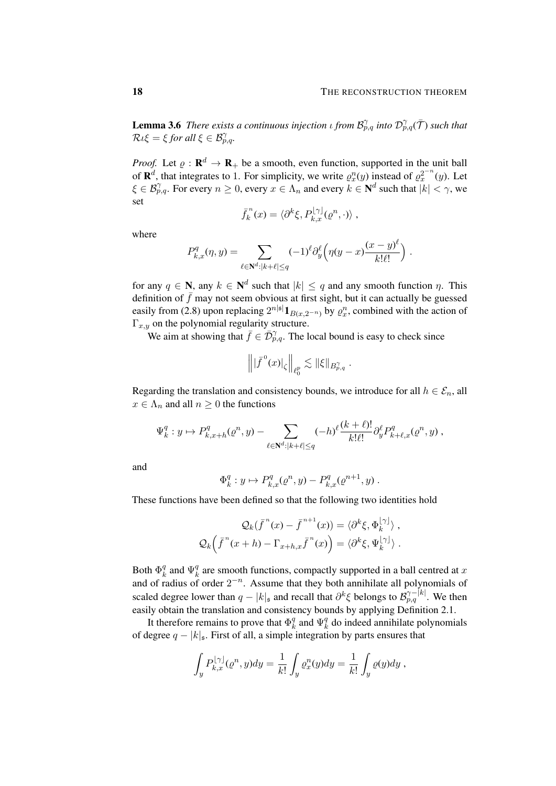**Lemma 3.6** There exists a continuous injection *ι* from  $\mathcal{B}_{p,q}^{\gamma}$  into  $\mathcal{D}_{p,q}^{\gamma}(\bar{\mathcal{T}})$  such that  $\mathcal{R} \iota \xi = \xi$  for all  $\xi \in \mathcal{B}_{p,q}^{\gamma}$ .

*Proof.* Let  $\varrho : \mathbf{R}^d \to \mathbf{R}_+$  be a smooth, even function, supported in the unit ball of  $\mathbf{R}^d$ , that integrates to 1. For simplicity, we write  $\rho_x^n(y)$  instead of  $\rho_x^{2^{-n}}(y)$ . Let  $\xi \in \mathcal{B}_{p,q}^{\gamma}$ . For every  $n \geq 0$ , every  $x \in \Lambda_n$  and every  $k \in \mathbb{N}^d$  such that  $|k| < \gamma$ , we set

$$
\bar{f}_k^n(x) = \langle \partial^k \xi, P_{k,x}^{[\gamma]}(\varrho^n, \cdot) \rangle ,
$$

where

$$
P_{k,x}^q(\eta,y) = \sum_{\ell \in \mathbb{N}^d : |k+\ell| \le q} (-1)^\ell \partial_y^\ell \left( \eta(y-x) \frac{(x-y)^\ell}{k!\ell!} \right) \, .
$$

for any  $q \in \mathbb{N}$ , any  $k \in \mathbb{N}^d$  such that  $|k| \leq q$  and any smooth function  $\eta$ . This definition of  $\bar{f}$  may not seem obvious at first sight, but it can actually be guessed easily from [\(2.8\)](#page-12-1) upon replacing  $2^{n|s|}1_{B(x,2^{-n})}$  by  $\varrho_x^n$ , combined with the action of  $\Gamma_{x,y}$  on the polynomial regularity structure.

We aim at showing that  $\bar{f} \in \bar{\mathcal{D}}_{p,q}^{\gamma}$ . The local bound is easy to check since

$$
\left\| |\overline{f}^{\,0}(x)|_{\zeta} \right\|_{\ell^p_0} \lesssim \|\xi\|_{B^\gamma_{p,q}}.
$$

Regarding the translation and consistency bounds, we introduce for all  $h \in \mathcal{E}_n$ , all  $x \in \Lambda_n$  and all  $n \geq 0$  the functions

$$
\Psi_k^q: y \mapsto P_{k,x+h}^q(\varrho^n, y) - \sum_{\ell \in \mathbb{N}^d : |k+\ell| \le q} (-h)^{\ell} \frac{(k+\ell)!}{k!\ell!} \partial_y^{\ell} P_{k+\ell,x}^q(\varrho^n, y) ,
$$

and

$$
\Phi_k^q : y \mapsto P_{k,x}^q(\varrho^n, y) - P_{k,x}^q(\varrho^{n+1}, y) .
$$

These functions have been defined so that the following two identities hold

$$
Q_k(\bar{f}^n(x) - \bar{f}^{n+1}(x)) = \langle \partial^k \xi, \Phi_k^{[\gamma]} \rangle,
$$
  

$$
Q_k(\bar{f}^n(x+h) - \Gamma_{x+h,x}\bar{f}^n(x)) = \langle \partial^k \xi, \Psi_k^{[\gamma]} \rangle.
$$

Both  $\Phi_k^q$  $\frac{q}{k}$  and  $\Psi_k^q$  $\frac{q}{k}$  are smooth functions, compactly supported in a ball centred at x and of radius of order  $2^{-n}$ . Assume that they both annihilate all polynomials of scaled degree lower than  $q - |k|_{\mathfrak{s}}$  and recall that  $\partial^k \xi$  belongs to  $\mathcal{B}_{p,q}^{\gamma - |k|}$ . We then easily obtain the translation and consistency bounds by applying Definition [2.1.](#page-3-0)

It therefore remains to prove that  $\Phi_k^q$  $\frac{q}{k}$  and  $\Psi_k^q$  $\frac{q}{k}$  do indeed annihilate polynomials of degree  $q - |k|_{\mathfrak{s}}$ . First of all, a simple integration by parts ensures that

$$
\int_{y} P_{k,x}^{[\gamma]}(\varrho^n, y) dy = \frac{1}{k!} \int_{y} \varrho^n_x(y) dy = \frac{1}{k!} \int_{y} \varrho(y) dy,
$$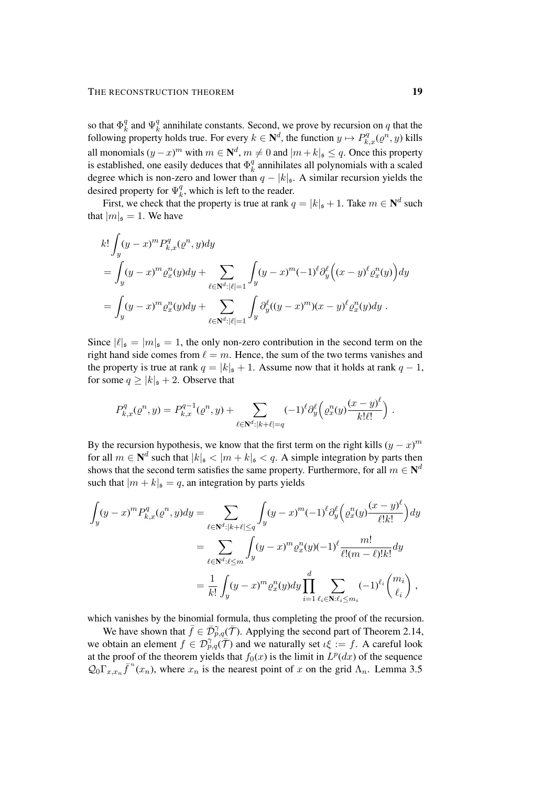so that  $\Phi_k^q$  $\frac{q}{k}$  and  $\Psi_k^q$  $\frac{q}{k}$  annihilate constants. Second, we prove by recursion on q that the following property holds true. For every  $k \in \mathbb{N}^d$ , the function  $y \mapsto P_{k,x}^q(\varrho^n, y)$  kills all monomials  $(y-x)^m$  with  $m \in \mathbb{N}^d$ ,  $m \neq 0$  and  $|m+k|_{\mathfrak{s}} \leq q$ . Once this property is established, one easily deduces that  $\Phi_k^q$  $\frac{q}{k}$  annihilates all polynomials with a scaled degree which is non-zero and lower than  $q - |k|_{\mathfrak{s}}$ . A similar recursion yields the desired property for  $\Psi_k^q$  $\frac{q}{k}$ , which is left to the reader.

First, we check that the property is true at rank  $q = |k|_{\mathfrak{s}} + 1$ . Take  $m \in \mathbb{N}^d$  such that  $|m|_{\mathfrak{s}} = 1$ . We have

$$
k! \int_y (y-x)^m P_{k,x}^q(\varrho^n, y) dy
$$
  
= 
$$
\int_y (y-x)^m \varrho_x^n(y) dy + \sum_{\ell \in \mathbb{N}^d : |\ell|=1} \int_y (y-x)^m (-1)^{\ell} \partial_y^{\ell} \Big( (x-y)^{\ell} \varrho_x^n(y) \Big) dy
$$
  
= 
$$
\int_y (y-x)^m \varrho_x^n(y) dy + \sum_{\ell \in \mathbb{N}^d : |\ell|=1} \int_y \partial_y^{\ell} ((y-x)^m)(x-y)^{\ell} \varrho_x^n(y) dy.
$$

Since  $|\ell|_{\mathfrak{s}} = |m|_{\mathfrak{s}} = 1$ , the only non-zero contribution in the second term on the right hand side comes from  $\ell = m$ . Hence, the sum of the two terms vanishes and the property is true at rank  $q = |k|_s + 1$ . Assume now that it holds at rank  $q - 1$ , for some  $q \ge |k|_{\mathfrak{s}} + 2$ . Observe that

$$
P_{k,x}^q(\varrho^n, y) = P_{k,x}^{q-1}(\varrho^n, y) + \sum_{\ell \in \mathbb{N}^d : |k+\ell| = q} (-1)^{\ell} \partial_y^{\ell} \left( \varrho_x^n(y) \frac{(x-y)^{\ell}}{k! \ell!} \right).
$$

By the recursion hypothesis, we know that the first term on the right kills  $(y - x)^m$ for all  $m \in \mathbb{N}^d$  such that  $|k|_{\mathfrak{s}} < |m+k|_{\mathfrak{s}} < q$ . A simple integration by parts then shows that the second term satisfies the same property. Furthermore, for all  $m \in \mathbb{N}^d$ such that  $|m + k|_{\mathfrak{s}} = q$ , an integration by parts yields

$$
\int_{y} (y-x)^m P_{k,x}^q(\varrho^n, y) dy = \sum_{\ell \in \mathbb{N}^d : |k+\ell| \le q} \int_{y} (y-x)^m (-1)^{\ell} \partial_y^{\ell} \left( \varrho_x^n(y) \frac{(x-y)^{\ell}}{\ell! k!} \right) dy
$$

$$
= \sum_{\ell \in \mathbb{N}^d : \ell \le m} \int_{y} (y-x)^m \varrho_x^n(y) (-1)^{\ell} \frac{m!}{\ell! (m-\ell)! k!} dy
$$

$$
= \frac{1}{k!} \int_{y} (y-x)^m \varrho_x^n(y) dy \prod_{i=1}^d \sum_{\ell_i \in \mathbb{N} : \ell_i \le m_i} (-1)^{\ell_i} \binom{m_i}{\ell_i},
$$

which vanishes by the binomial formula, thus completing the proof of the recursion.

We have shown that  $\bar{f} \in \bar{\mathcal{D}}_{p,q}^{\gamma}(\bar{\mathcal{T}})$ . Applying the second part of Theorem [2.14,](#page-11-0) we obtain an element  $f \in \mathcal{D}_{p,q}^{\gamma}(\overline{\mathcal{T}})$  and we naturally set  $\iota \xi := f$ . A careful look at the proof of the theorem yields that  $f_0(x)$  is the limit in  $L^p(dx)$  of the sequence  $\mathcal{Q}_0 \Gamma_{x,x_n} \bar{f}^n(x_n)$ , where  $x_n$  is the nearest point of x on the grid  $\Lambda_n$ . Lemma [3.5](#page-16-1)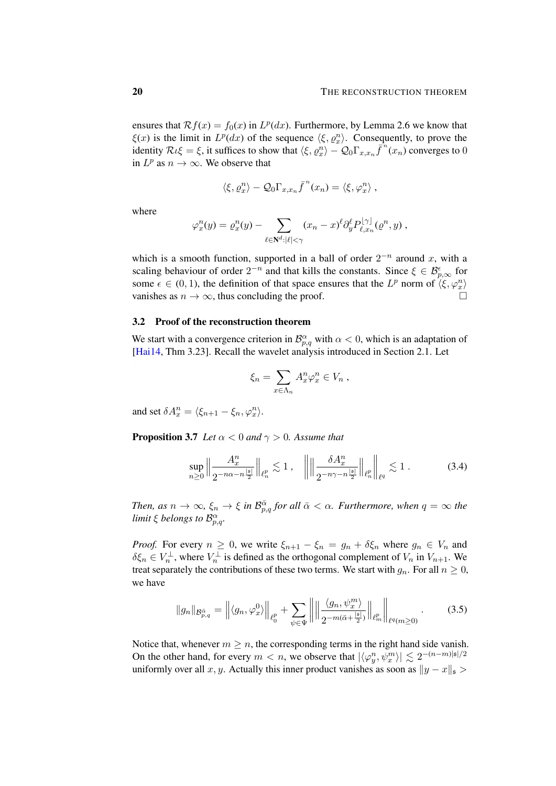ensures that  $\mathcal{R}f(x) = f_0(x)$  in  $L^p(dx)$ . Furthermore, by Lemma [2.6](#page-7-1) we know that  $\xi(x)$  is the limit in  $L^p(dx)$  of the sequence  $\langle \xi, \varrho_x^n \rangle$ . Consequently, to prove the identity  $\mathcal{R} \iota \xi = \xi$ , it suffices to show that  $\langle \xi, \varrho_x^n \rangle - \mathcal{Q}_0 \Gamma_{x, x_n} \overline{f}^n(x_n)$  converges to 0 in  $L^p$  as  $n \to \infty$ . We observe that

$$
\langle \xi, \varrho_x^n \rangle - \mathcal{Q}_0 \Gamma_{x,x_n} \overline{f}^{\,n}(x_n) = \langle \xi, \varphi_x^n \rangle ,
$$

where

$$
\varphi_x^n(y) = \varrho_x^n(y) - \sum_{\ell \in \mathbf{N}^d : |\ell| < \gamma} (x_n - x)^\ell \partial_y^\ell P_{\ell,x_n}^{|\gamma|}(\varrho^n, y) ,
$$

which is a smooth function, supported in a ball of order  $2^{-n}$  around x, with a scaling behaviour of order  $2^{-n}$  and that kills the constants. Since  $\xi \in \mathcal{B}_{p,\infty}^{\epsilon}$  for some  $\epsilon \in (0, 1)$ , the definition of that space ensures that the  $L^p$  norm of  $\langle \xi, \varphi_x^n \rangle$ vanishes as  $n \to \infty$ , thus concluding the proof.

#### 3.2 Proof of the reconstruction theorem

We start with a convergence criterion in  $\mathcal{B}_{p,q}^{\alpha}$  with  $\alpha < 0$ , which is an adaptation of [\[Hai14,](#page-34-0) Thm 3.23]. Recall the wavelet analysis introduced in Section [2.1.](#page-2-1) Let

<span id="page-19-2"></span><span id="page-19-1"></span>
$$
\xi_n = \sum_{x \in \Lambda_n} A_x^n \varphi_x^n \in V_n ,
$$

and set  $\delta A_x^n = \langle \xi_{n+1} - \xi_n, \varphi_x^n \rangle$ .

**Proposition 3.7** *Let*  $\alpha < 0$  *and*  $\gamma > 0$ *. Assume that* 

$$
\sup_{n\geq 0} \left\| \frac{A_x^n}{2^{-n\alpha - n\frac{|s|}{2}}} \right\|_{\ell_n^p} \lesssim 1 \,, \quad \left\| \left\| \frac{\delta A_x^n}{2^{-n\gamma - n\frac{|s|}{2}}} \right\|_{\ell_n^p} \right\|_{\ell^q} \lesssim 1 \,. \tag{3.4}
$$

Then, as  $n \to \infty$ ,  $\xi_n \to \xi$  in  $\mathcal{B}^{\bar{\alpha}}_{p,q}$  for all  $\bar{\alpha} < \alpha$ . Furthermore, when  $q = \infty$  the *limit*  $\xi$  *belongs to*  $\mathcal{B}_{p,q}^{\alpha}$ .

*Proof.* For every  $n \geq 0$ , we write  $\xi_{n+1} - \xi_n = g_n + \delta \xi_n$  where  $g_n \in V_n$  and  $\delta \xi_n \in V_n^{\perp}$ , where  $V_n^{\perp}$  is defined as the orthogonal complement of  $V_n$  in  $V_{n+1}$ . We treat separately the contributions of these two terms. We start with  $g_n$ . For all  $n \geq 0$ , we have

<span id="page-19-0"></span>
$$
||g_n||_{\mathcal{B}_{p,q}^{\bar{\alpha}}} = ||\langle g_n, \varphi_x^0 \rangle||_{\ell_0^p} + \sum_{\psi \in \Psi} ||\frac{\langle g_n, \psi_x^m \rangle}{2^{-m(\bar{\alpha} + \frac{|\mathfrak{s}|}{2})}}||_{\ell_m^p} ||_{\ell^q(m \geq 0)}.
$$
 (3.5)

Notice that, whenever  $m \geq n$ , the corresponding terms in the right hand side vanish. On the other hand, for every  $m < n$ , we observe that  $|\langle \varphi_y^n, \psi_x^m \rangle| \lesssim 2^{-(n-m)|\mathfrak{s}|/2}$ uniformly over all x, y. Actually this inner product vanishes as soon as  $||y - x||_{\mathfrak{s}} >$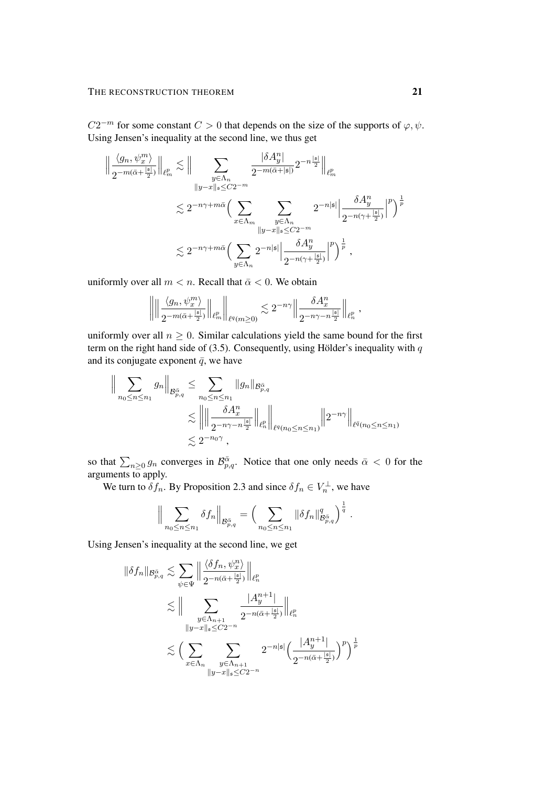$C2^{-m}$  for some constant  $C > 0$  that depends on the size of the supports of  $\varphi, \psi$ . Using Jensen's inequality at the second line, we thus get

$$
\begin{split} \Big\| \frac{\langle g_n, \psi^m_x \rangle}{2^{-m(\bar{\alpha} + \frac{|s|}{2})}} \Big\|_{\ell^p_m} \lesssim & ~{} \Big\| \sum_{\substack{y \in \Lambda_n \\ \|y - x\|_s \le C2^{-m}}} \frac{|\delta A^n_y|}{2^{-m(\bar{\alpha} + |s|)}} 2^{-n \frac{|s|}{2}} \Big\|_{\ell^p_m} \\ & ~{} \lesssim 2^{-n \gamma + m \bar{\alpha}} \Big( \sum_{x \in \Lambda_m} \sum_{\substack{y \in \Lambda_n \\ \|y - x\|_s \le C2^{-m}}} 2^{-n |s|} \Big| \frac{\delta A^n_y}{2^{-n(\gamma + \frac{|s|}{2})}} \Big|^p \Big)^{\frac{1}{p}} \\ & ~{} \lesssim 2^{-n \gamma + m \bar{\alpha}} \Big( \sum_{y \in \Lambda_n} 2^{-n |s|} \Big| \frac{\delta A^n_y}{2^{-n(\gamma + \frac{|s|}{2})}} \Big|^p \Big)^{\frac{1}{p}} \,, \end{split}
$$

uniformly over all  $m < n$ . Recall that  $\bar{\alpha} < 0$ . We obtain

$$
\left\lVert \Big\|\frac{\langle g_n, \psi^m_x \rangle}{2^{-m(\bar{\alpha} + \frac{|\mathfrak{s}|}{2})}}\Big\|_{\ell^p_m} \right\rVert_{\ell^q(m \geq 0)} \lesssim 2^{-n\gamma} \Big\lVert \frac{\delta A^n_x}{2^{-n\gamma - n \frac{|\mathfrak{s}|}{2}}} \Big\rVert_{\ell^p_n} \;,
$$

uniformly over all  $n \geq 0$ . Similar calculations yield the same bound for the first term on the right hand side of [\(3.5\)](#page-19-0). Consequently, using Hölder's inequality with  $q$ and its conjugate exponent  $\bar{q}$ , we have

$$
\left\| \sum_{n_0 \le n \le n_1} g_n \right\|_{\mathcal{B}_{p,q}^{\bar{\alpha}}} \le \sum_{n_0 \le n \le n_1} \|g_n\|_{\mathcal{B}_{p,q}^{\bar{\alpha}}}
$$
  

$$
\lesssim \left\| \left\| \frac{\delta A_x^n}{2^{-n\gamma - n\frac{|\mathfrak{s}|}{2}}} \right\|_{\ell_n^p} \right\|_{\ell^q(n_0 \le n \le n_1)} \left\| 2^{-n\gamma} \right\|_{\ell^{\bar{q}}(n_0 \le n \le n_1)}
$$
  

$$
\lesssim 2^{-n_0\gamma},
$$

so that  $\sum_{n\geq 0} g_n$  converges in  $\mathcal{B}_{p,q}^{\bar{\alpha}}$ . Notice that one only needs  $\bar{\alpha} < 0$  for the arguments to apply.

We turn to  $\delta f_n$ . By Proposition [2.3](#page-4-1) and since  $\delta f_n \in V_n^{\perp}$ , we have

$$
\Big\|\sum_{n_0\leq n\leq n_1}\delta f_n\Big\|_{\mathcal{B}_{p,q}^{\overline{\alpha}}}=\Big(\sum_{n_0\leq n\leq n_1}\|\delta f_n\|_{\mathcal{B}_{p,q}^{\overline{\alpha}}}\Big)^{\frac{1}{q}}.
$$

Using Jensen's inequality at the second line, we get

$$
\begin{aligned} \|\delta f_n\|_{\mathcal{B}^{\bar{\alpha}}_{p,q}}\lesssim & \sum_{\psi\in \Psi}\Big\|\frac{\langle\delta f_n, \psi^n_x\rangle}{2^{-n(\bar{\alpha}+\frac{|\mathfrak{s}|}{2})}}\Big\|_{\ell^p_n}\\ \lesssim & \Big\|\sum_{\substack{y\in \Lambda_{n+1}\\ \|y-x\|_{\mathfrak{s}}\le C2^{-n}}}\frac{|A^{n+1}_y|}{2^{-n(\bar{\alpha}+\frac{|\mathfrak{s}|}{2})}}\Big\|_{\ell^p_n}\\ \lesssim & \Big(\sum_{x\in \Lambda_n}\sum_{\substack{y\in \Lambda_{n+1}\\ \|y-x\|_{\mathfrak{s}}\le C2^{-n}}}\frac{2^{-n|\mathfrak{s}|}\Big(\frac{|A^{n+1}_y|}{2^{-n(\bar{\alpha}+\frac{|\mathfrak{s}|}{2})}}\Big)^p\Big)^{\frac{1}{p}}}\end{aligned}
$$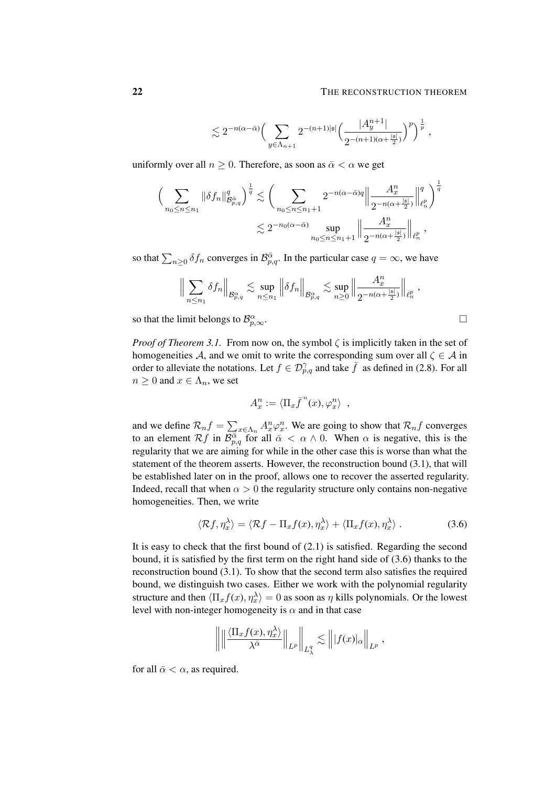#### 22 THE RECONSTRUCTION THEOREM

$$
\lesssim 2^{-n(\alpha - \bar \alpha)} \Big(\sum_{y \in \Lambda_{n+1}} 2^{-(n+1)|\mathfrak{s}|} \Big(\frac{|A^{n+1}_y|}{2^{-(n+1)(\alpha + \frac{|\mathfrak{s}|}{2})}}\Big)^p\Big)^{\frac{1}{p}}\;,
$$

uniformly over all  $n \geq 0$ . Therefore, as soon as  $\bar{\alpha} < \alpha$  we get

$$
\left(\sum_{n_0\leq n\leq n_1} \|\delta f_n\|_{\mathcal{B}_{p,q}^{\bar\alpha}}^q\right)^{\frac{1}{q}} \lesssim \left(\sum_{n_0\leq n\leq n_1+1} 2^{-n(\alpha-\bar\alpha)q} \Big\|\frac{A_x^n}{2^{-n(\alpha+\frac{|\mathfrak{s}|}{2})}}\Big\|_{\ell_p^p}^q\right)^{\frac{1}{q}}
$$
  

$$
\lesssim 2^{-n_0(\alpha-\bar\alpha)} \sup_{n_0\leq n\leq n_1+1} \Big\|\frac{A_x^n}{2^{-n(\alpha+\frac{|\mathfrak{s}|}{2})}}\Big\|_{\ell_n^p},
$$

so that  $\sum_{n\geq 0} \delta f_n$  converges in  $\mathcal{B}_{p,q}^{\bar{\alpha}}$ . In the particular case  $q = \infty$ , we have

$$
\Big\|\sum_{n\leq n_1}\delta f_n\Big\|_{\mathcal{B}^\alpha_{p,q}}\lesssim \sup_{n\leq n_1}\Big\|\delta f_n\Big\|_{\mathcal{B}^\alpha_{p,q}}\lesssim \sup_{n\geq 0}\Big\|\frac{A^n_x}{2^{-n(\alpha+\frac{|\mathfrak{s}|}{2})}}\Big\|_{\ell^p_n}\,,
$$

so that the limit belongs to  $\mathcal{B}_n^{\alpha}$  $\alpha \atop p,\infty$ .

*Proof of Theorem [3.1.](#page-15-1)* From now on, the symbol ζ is implicitly taken in the set of homogeneities A, and we omit to write the corresponding sum over all  $\zeta \in A$  in order to alleviate the notations. Let  $f \in \mathcal{D}_{p,q}^{\gamma}$  and take  $\bar{f}$  as defined in [\(2.8\)](#page-12-1). For all  $n \geq 0$  and  $x \in \Lambda_n$ , we set

$$
A_x^n := \langle \Pi_x \overline{f}^n(x), \varphi_x^n \rangle ,
$$

and we define  $\mathcal{R}_n f = \sum_{x \in \Lambda_n} A_x^n \varphi_x^n$ . We are going to show that  $\mathcal{R}_n f$  converges to an element  $\mathcal{R}f$  in  $\mathcal{B}_{p,q}^{\overline{\alpha}}$  for all  $\overline{\alpha} < \alpha \wedge 0$ . When  $\alpha$  is negative, this is the regularity that we are aiming for while in the other case this is worse than what the statement of the theorem asserts. However, the reconstruction bound [\(3.1\)](#page-15-2), that will be established later on in the proof, allows one to recover the asserted regularity. Indeed, recall that when  $\alpha > 0$  the regularity structure only contains non-negative homogeneities. Then, we write

$$
\langle \mathcal{R}f, \eta_x^{\lambda} \rangle = \langle \mathcal{R}f - \Pi_x f(x), \eta_x^{\lambda} \rangle + \langle \Pi_x f(x), \eta_x^{\lambda} \rangle. \tag{3.6}
$$

It is easy to check that the first bound of [\(2.1\)](#page-3-1) is satisfied. Regarding the second bound, it is satisfied by the first term on the right hand side of [\(3.6\)](#page-21-0) thanks to the reconstruction bound [\(3.1\)](#page-15-2). To show that the second term also satisfies the required bound, we distinguish two cases. Either we work with the polynomial regularity structure and then  $\langle \Pi_x f(x), \eta_x^{\lambda} \rangle = 0$  as soon as  $\eta$  kills polynomials. Or the lowest level with non-integer homogeneity is  $\alpha$  and in that case

$$
\left\| \left\| \frac{\langle \Pi_x f(x), \eta_x^{\lambda} \rangle}{\lambda^{\bar{\alpha}}} \right\|_{L^p} \right\|_{L^q_\lambda} \lesssim \left\| |f(x)|_{\alpha} \right\|_{L^p},
$$

for all  $\bar{\alpha} < \alpha$ , as required.

<span id="page-21-0"></span>
$$
\Box
$$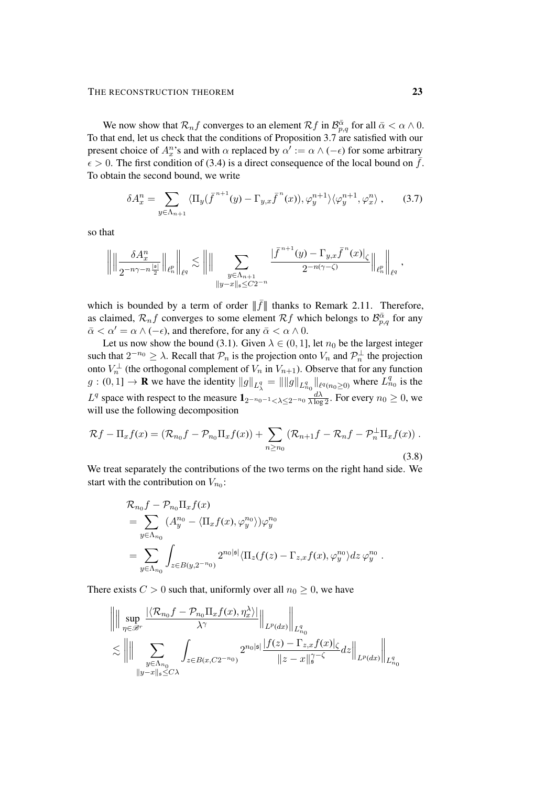We now show that  $\mathcal{R}_n f$  converges to an element  $\mathcal{R}f$  in  $\mathcal{B}_{p,q}^{\bar{\alpha}}$  for all  $\bar{\alpha} < \alpha \wedge 0$ . To that end, let us check that the conditions of Proposition [3.7](#page-19-1) are satisfied with our present choice of  $A_x^n$ 's and with  $\alpha$  replaced by  $\alpha' := \alpha \wedge (-\epsilon)$  for some arbitrary  $\epsilon > 0$ . The first condition of [\(3.4\)](#page-19-2) is a direct consequence of the local bound on  $\bar{f}$ . To obtain the second bound, we write

<span id="page-22-1"></span>
$$
\delta A_x^n = \sum_{y \in \Lambda_{n+1}} \langle \Pi_y(\bar{f}^{n+1}(y) - \Gamma_{y,x}\bar{f}^n(x)), \varphi_y^{n+1} \rangle \langle \varphi_y^{n+1}, \varphi_x^n \rangle , \qquad (3.7)
$$

so that

$$
\left\|\Big\|\frac{\delta A^n_x}{2^{-n\gamma-n\frac{|s|}{2}}}\Big\|_{\ell^p_n}\right\|_{\ell^q}\lesssim \left\|\Big\|\sum_{\substack{y\in\Lambda_{n+1}\\ \|y-x\|_s\le C2^{-n}}} \frac{|\bar f^{n+1}(y)-\Gamma_{y,x}\bar f^n(x)|_\zeta}{2^{-n(\gamma-\zeta)}}\Big\|_{\ell^p_n}\right\|_{\ell^q},
$$

which is bounded by a term of order  $\|\bar{f}\|$  thanks to Remark [2.11.](#page-10-0) Therefore, as claimed,  $\mathcal{R}_n f$  converges to some element  $\mathcal{R}f$  which belongs to  $\mathcal{B}_{p,q}^{\bar{\alpha}}$  for any  $\bar{\alpha} < \alpha' = \alpha \wedge (-\epsilon)$ , and therefore, for any  $\bar{\alpha} < \alpha \wedge 0$ .

Let us now show the bound [\(3.1\)](#page-15-2). Given  $\lambda \in (0, 1]$ , let  $n_0$  be the largest integer such that  $2^{-n_0} \ge \lambda$ . Recall that  $\mathcal{P}_n$  is the projection onto  $V_n$  and  $\mathcal{P}_n^{\perp}$  the projection onto  $V_n^{\perp}$  (the orthogonal complement of  $V_n$  in  $V_{n+1}$ ). Observe that for any function  $g:(0,1] \to \mathbf{R}$  we have the identity  $||g||_{L^q_\lambda} = ||||g||_{L^q_{n_0}}||_{\ell^q(n_0 \geq 0)}$  where  $L^q_{n_0}$  is the  $L^q$  space with respect to the measure  $\mathbf{1}_{2^{-n_0-1} < \lambda \leq 2^{-n_0}} \frac{d\lambda}{\lambda \log n}$  $\frac{d\lambda}{\lambda \log 2}$ . For every  $n_0 \geq 0$ , we will use the following decomposition

$$
\mathcal{R}f - \Pi_x f(x) = (\mathcal{R}_{n_0}f - \mathcal{P}_{n_0}\Pi_x f(x)) + \sum_{n \ge n_0} (\mathcal{R}_{n+1}f - \mathcal{R}_n f - \mathcal{P}_n^{\perp}\Pi_x f(x)) .
$$
\n(3.8)

We treat separately the contributions of the two terms on the right hand side. We start with the contribution on  $V_{n_0}$ :

<span id="page-22-0"></span>
$$
\mathcal{R}_{n_0}f - \mathcal{P}_{n_0}\Pi_x f(x)
$$
  
= 
$$
\sum_{y \in \Lambda_{n_0}} (A_y^{n_0} - \langle \Pi_x f(x), \varphi_y^{n_0} \rangle) \varphi_y^{n_0}
$$
  
= 
$$
\sum_{y \in \Lambda_{n_0}} \int_{z \in B(y, 2^{-n_0})} 2^{n_0|s|} \langle \Pi_z(f(z) - \Gamma_{z,x}f(x), \varphi_y^{n_0} \rangle dz \varphi_y^{n_0}.
$$

There exists  $C > 0$  such that, uniformly over all  $n_0 \geq 0$ , we have

$$
\left\| \left\| \sup_{\eta \in \mathcal{B}^r} \frac{|\langle \mathcal{R}_{n_0} f - \mathcal{P}_{n_0} \Pi_x f(x), \eta_\alpha^\lambda \rangle|}{\lambda^\gamma} \right\|_{L^p(dx)} \right\|_{L^q_{n_0}} \leq \left\| \left\| \sum_{\substack{y \in \Lambda_{n_0} \\ \|y - x\|_{\mathfrak{s}} \leq C\lambda}} \int_{z \in B(x, C2^{-n_0})} 2^{n_0 |\mathfrak{s}|} \frac{|f(z) - \Gamma_{z,x} f(x)|_{\zeta}}{|z - x|_{\mathfrak{s}}^{\gamma - \zeta}} dz \right\|_{L^p(dx)} \right\|_{L^q_{n_0}}
$$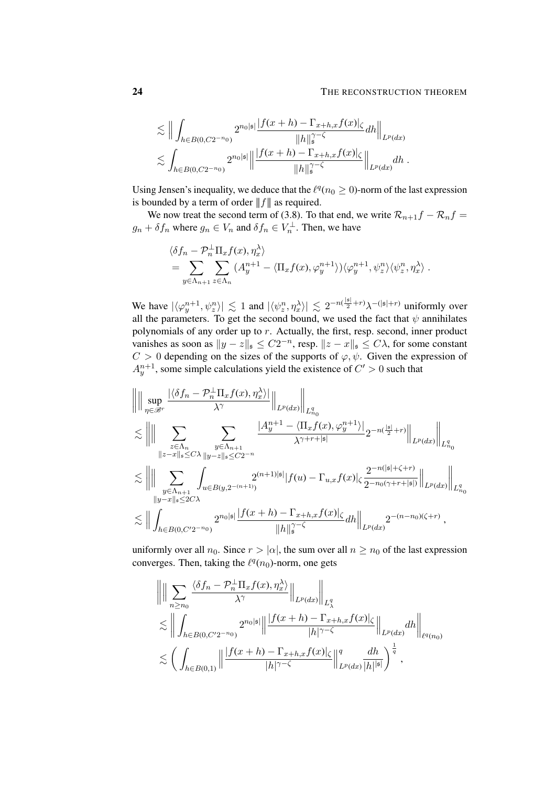#### 24 THE RECONSTRUCTION THEOREM

$$
\lesssim \Big\| \int_{h \in B(0,C2^{-n_0})} 2^{n_0|s|} \frac{|f(x+h) - \Gamma_{x+h,x}f(x)|_\zeta}{\|h\|_s^{\gamma-\zeta}} dh \Big\|_{L^p(dx)}
$$
  

$$
\lesssim \int_{h \in B(0,C2^{-n_0})} 2^{n_0|s|} \Big\| \frac{|f(x+h) - \Gamma_{x+h,x}f(x)|_\zeta}{\|h\|_s^{\gamma-\zeta}} \Big\|_{L^p(dx)} dh.
$$

Using Jensen's inequality, we deduce that the  $\ell^q(n_0 \geq 0)$ -norm of the last expression is bounded by a term of order  $|| f ||$  as required.

We now treat the second term of [\(3.8\)](#page-22-0). To that end, we write  $\mathcal{R}_{n+1}f - \mathcal{R}_n f =$  $g_n + \delta f_n$  where  $g_n \in V_n$  and  $\delta f_n \in V_n^{\perp}$ . Then, we have

$$
\langle \delta f_n - \mathcal{P}_n^{\perp} \Pi_x f(x), \eta_x^{\lambda} \rangle
$$
  
= 
$$
\sum_{y \in \Lambda_{n+1}} \sum_{z \in \Lambda_n} (A_y^{n+1} - \langle \Pi_x f(x), \varphi_y^{n+1} \rangle) \langle \varphi_y^{n+1}, \psi_z^{n} \rangle \langle \psi_z^{n}, \eta_x^{\lambda} \rangle.
$$

We have  $|\langle \varphi_y^{n+1}, \psi_z^n \rangle| \lesssim 1$  and  $|\langle \psi_z^n, \eta_x^{\lambda} \rangle| \lesssim 2^{-n(\frac{|\mathfrak{s}|}{2}+r)} \lambda^{-(|\mathfrak{s}|+r)}$  uniformly over all the parameters. To get the second bound, we used the fact that  $\psi$  annihilates polynomials of any order up to r. Actually, the first, resp. second, inner product vanishes as soon as  $||y - z||_{\mathfrak{s}} \leq C2^{-n}$ , resp.  $||z - x||_{\mathfrak{s}} \leq C\lambda$ , for some constant  $C > 0$  depending on the sizes of the supports of  $\varphi, \psi$ . Given the expression of  $A_y^{n+1}$ , some simple calculations yield the existence of  $C' > 0$  such that

$$
\|\| \sup_{\eta \in \mathcal{B}^r} \frac{|\langle \delta f_n - \mathcal{P}_n^{\perp} \Pi_x f(x), \eta_x^{\lambda} \rangle|}{\lambda^{\gamma}} \right\|_{L^p(dx)} \|_{L^q_{n_0}} \n\lesssim \|\| \sum_{z \in \Lambda_n} \sum_{\substack{y \in \Lambda_{n+1} \\ \|z - x\|_{\mathfrak{s}} \le C\lambda}} \frac{|A_y^{n+1} - \langle \Pi_x f(x), \varphi_y^{n+1} \rangle|}{\lambda^{\gamma + r + |\mathfrak{s}|}} 2^{-n(\frac{|\mathfrak{s}|}{2} + r)} \|_{L^p(dx)} \|_{L^q_{n_0}} \n\lesssim \|\| \sum_{\substack{y \in \Lambda_{n+1} \\ \|y - x\|_{\mathfrak{s}} \le 2C\lambda}} \int_{u \in B(y, 2^{-(n+1)})} 2^{(n+1)|\mathfrak{s}|} |f(u) - \Gamma_{u,x} f(x)| \zeta \frac{2^{-n(|\mathfrak{s}| + \zeta + r)}}{2^{-n_0(\gamma + r + |\mathfrak{s}|)}} \|_{L^p(dx)} \|_{L^q_{n_0}} \n\lesssim \|\int_{h \in B(0, C'^2^{-n_0})} 2^{n_0|\mathfrak{s}|} \frac{|f(x + h) - \Gamma_{x + h,x} f(x)|_{\zeta}}{\|h\|_{\mathfrak{s}}^{\gamma - \zeta}} dh \|_{L^p(dx)} 2^{-(n - n_0)(\zeta + r)},
$$

uniformly over all  $n_0$ . Since  $r > |\alpha|$ , the sum over all  $n \ge n_0$  of the last expression converges. Then, taking the  $\ell^q(n_0)$ -norm, one gets

$$
\|\Big\| \sum_{n\geq n_0} \frac{\langle \delta f_n - \mathcal{P}_n^{\perp} \Pi_x f(x), \eta_x^{\lambda} \rangle}{\lambda^{\gamma}} \Big\|_{L^p(dx)} \Big\|_{L^q_\lambda}
$$
  
\n
$$
\lesssim \left\| \int_{h\in B(0,C^{\prime}2^{-n_0})} 2^{n_0|\mathfrak{s}|} \right\| \frac{|f(x+h) - \Gamma_{x+h,x}f(x)|_{\zeta}}{|h|^{\gamma-\zeta}} \Big\|_{L^p(dx)} dh \Big\|_{\ell^q(n_0)}
$$
  
\n
$$
\lesssim \left( \int_{h\in B(0,1)} \left\| \frac{|f(x+h) - \Gamma_{x+h,x}f(x)|_{\zeta}}{|h|^{\gamma-\zeta}} \right\|_{L^p(dx)}^q \frac{dh}{|h|^{|\mathfrak{s}|}} \right)^{\frac{1}{q}},
$$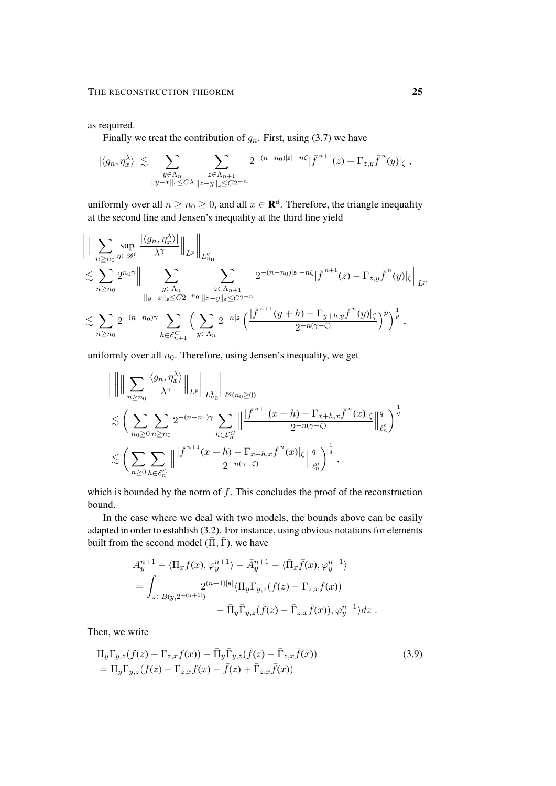as required.

Finally we treat the contribution of  $g_n$ . First, using [\(3.7\)](#page-22-1) we have

$$
|\langle g_n, \eta_x^{\lambda} \rangle| \lesssim \sum_{\substack{y \in \Lambda_n \\ \|y-x\|_{\mathfrak{s}} \le C\lambda}} \sum_{\substack{z \in \Lambda_{n+1} \\ \|z-y\|_{\mathfrak{s}} \le C2^{-n}}} 2^{-(n-n_0)|\mathfrak{s}| - n\zeta} |\bar{f}^{n+1}(z) - \Gamma_{z,y} \bar{f}^{n}(y)|_{\zeta},
$$

uniformly over all  $n \ge n_0 \ge 0$ , and all  $x \in \mathbf{R}^d$ . Therefore, the triangle inequality at the second line and Jensen's inequality at the third line yield

$$
\label{eq:bound} \begin{split} &\left\|\Big\|\sum_{n\geq n_0}\sup_{\eta\in\mathscr{B}^r}\frac{|\langle g_n,\eta^{\lambda}_x\rangle|}{\lambda^{\gamma}}\Big\|_{L^p}\right\|_{L^q_{n_0}}\\ &\lesssim \sum_{n\geq n_0}2^{n_0\gamma}\Big\|\sum_{\substack{y\in\Lambda_n\\ \|y-x\|_{\mathfrak{s}}\leq C2^{-n_0}}}\sum_{\substack{z\in\Lambda_{n+1}\\ \|z-y\|_{\mathfrak{s}}\leq C2^{-n}}}2^{-(n-n_0)|\mathfrak{s}|-n\zeta}|\bar f^{n+1}(z)-\Gamma_{z,y}\bar f^n(y)|_{\zeta}\Big\|_{L^p}\\ &\lesssim \sum_{n\geq n_0}2^{-(n-n_0)\gamma}\sum_{h\in\mathcal{E}_{n+1}^C}\Big(\sum_{y\in\Lambda_n}2^{-n|\mathfrak{s}|}\Big(\frac{|\bar f^{n+1}(y+h)-\Gamma_{y+h,y}\bar f^n(y)|_{\zeta}}{2^{-n(\gamma-\zeta)}}\Big)^p\Big)^{\frac{1}{p}}\,, \end{split}
$$

uniformly over all  $n_0$ . Therefore, using Jensen's inequality, we get

$$
\|\|\sum_{n\geq n_0} \frac{\langle g_n, \eta_x^{\lambda}\rangle}{\lambda^{\gamma}}\|_{L^p} \|\Big|_{L^q_n} \|\Big|_{\ell^q(n_0\geq 0)}
$$
  

$$
\lesssim \left(\sum_{n_0\geq 0} \sum_{n\geq n_0} 2^{-(n-n_0)\gamma} \sum_{h \in \mathcal{E}_n^C} \left\|\frac{|\bar{f}^{n+1}(x+h) - \Gamma_{x+h,x}\bar{f}^n(x)|_{\zeta}}{2^{-n(\gamma-\zeta)}}\right\|_{\ell^p_n}^q\right)^{\frac{1}{q}}
$$
  

$$
\lesssim \left(\sum_{n\geq 0} \sum_{h \in \mathcal{E}_n^C} \left\|\frac{|\bar{f}^{n+1}(x+h) - \Gamma_{x+h,x}\bar{f}^n(x)|_{\zeta}}{2^{-n(\gamma-\zeta)}}\right\|_{\ell^p_n}^q\right)^{\frac{1}{q}},
$$

which is bounded by the norm of  $f$ . This concludes the proof of the reconstruction bound.

In the case where we deal with two models, the bounds above can be easily adapted in order to establish [\(3.2\)](#page-15-3). For instance, using obvious notations for elements built from the second model  $(\overline{\Pi}, \overline{\Gamma})$ , we have

<span id="page-24-0"></span>
$$
A_{y}^{n+1} - \langle \Pi_x f(x), \varphi_y^{n+1} \rangle - \bar{A}_y^{n+1} - \langle \bar{\Pi}_x \bar{f}(x), \varphi_y^{n+1} \rangle
$$
  
= 
$$
\int_{z \in B(y, 2^{-(n+1)})} 2^{(n+1)|s|} \langle \Pi_y \Gamma_{y,z}(f(z) - \Gamma_{z,x} f(x)) - \bar{\Pi}_y \bar{\Gamma}_{y,z}(\bar{f}(z) - \bar{\Gamma}_{z,x} \bar{f}(x)), \varphi_y^{n+1} \rangle dz.
$$

Then, we write

$$
\Pi_y \Gamma_{y,z}(f(z) - \Gamma_{z,x}f(x)) - \bar{\Pi}_y \bar{\Gamma}_{y,z}(\bar{f}(z) - \bar{\Gamma}_{z,x}\bar{f}(x))
$$
\n
$$
= \Pi_y \Gamma_{y,z}(f(z) - \Gamma_{z,x}f(x) - \bar{f}(z) + \bar{\Gamma}_{z,x}\bar{f}(x))
$$
\n(3.9)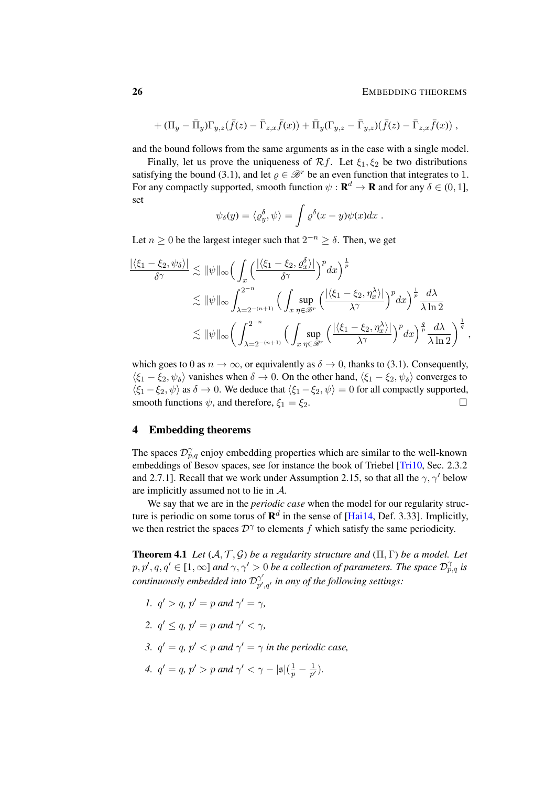#### 26 **EMBEDDING THEOREMS**

+ 
$$
(\Pi_y - \overline{\Pi}_y)\Gamma_{y,z}(\overline{f}(z) - \overline{\Gamma}_{z,x}\overline{f}(x)) + \overline{\Pi}_y(\Gamma_{y,z} - \overline{\Gamma}_{y,z})(\overline{f}(z) - \overline{\Gamma}_{z,x}\overline{f}(x)),
$$

and the bound follows from the same arguments as in the case with a single model.

Finally, let us prove the uniqueness of  $\mathcal{R}f$ . Let  $\xi_1, \xi_2$  be two distributions satisfying the bound [\(3.1\)](#page-15-2), and let  $\rho \in \mathcal{B}^r$  be an even function that integrates to 1. For any compactly supported, smooth function  $\psi : \mathbf{R}^d \to \mathbf{R}$  and for any  $\delta \in (0,1]$ , set

$$
\psi_{\delta}(y) = \langle \varrho_y^{\delta}, \psi \rangle = \int \varrho^{\delta}(x - y) \psi(x) dx.
$$

Let  $n \geq 0$  be the largest integer such that  $2^{-n} \geq \delta$ . Then, we get

$$
\frac{|\langle \xi_1 - \xi_2, \psi_\delta \rangle|}{\delta \gamma} \lesssim \|\psi\|_{\infty} \Big( \int_x \Big( \frac{|\langle \xi_1 - \xi_2, \varrho_\alpha^\delta \rangle|}{\delta \gamma} \Big)^p dx \Big)^{\frac{1}{p}} \n\lesssim \|\psi\|_{\infty} \int_{\lambda = 2^{-(n+1)}}^{2^{-n}} \Big( \int_x \sup_{\eta \in \mathscr{B}^r} \Big( \frac{|\langle \xi_1 - \xi_2, \eta_\alpha^\lambda \rangle|}{\lambda \gamma} \Big)^p dx \Big)^{\frac{1}{p}} \frac{d\lambda}{\lambda \ln 2} \n\lesssim \|\psi\|_{\infty} \Big( \int_{\lambda = 2^{-(n+1)}}^{2^{-n}} \Big( \int_x \sup_{\eta \in \mathscr{B}^r} \Big( \frac{|\langle \xi_1 - \xi_2, \eta_\alpha^\lambda \rangle|}{\lambda \gamma} \Big)^p dx \Big)^{\frac{q}{p}} \frac{d\lambda}{\lambda \ln 2} \Big)^{\frac{1}{q}} ,
$$

which goes to 0 as  $n \to \infty$ , or equivalently as  $\delta \to 0$ , thanks to [\(3.1\)](#page-15-2). Consequently,  $\langle \xi_1 - \xi_2, \psi_\delta \rangle$  vanishes when  $\delta \to 0$ . On the other hand,  $\langle \xi_1 - \xi_2, \psi_\delta \rangle$  converges to  $\langle \xi_1 - \xi_2, \psi \rangle$  as  $\delta \to 0$ . We deduce that  $\langle \xi_1 - \xi_2, \psi \rangle = 0$  for all compactly supported, smooth functions  $\psi$ , and therefore,  $\xi_1 = \xi_2$ .

## <span id="page-25-0"></span>4 Embedding theorems

The spaces  $\mathcal{D}_{p,q}^{\gamma}$  enjoy embedding properties which are similar to the well-known embeddings of Besov spaces, see for instance the book of Triebel [\[Tri10,](#page-35-3) Sec. 2.3.2 and 2.7.1]. Recall that we work under Assumption [2.15,](#page-14-0) so that all the  $\gamma$ ,  $\gamma'$  below are implicitly assumed not to lie in A.

We say that we are in the *periodic case* when the model for our regularity structure is periodic on some torus of  $\mathbb{R}^d$  in the sense of [\[Hai14,](#page-34-0) Def. 3.33]. Implicitly, we then restrict the spaces  $\mathcal{D}^{\gamma}$  to elements f which satisfy the same periodicity.

<span id="page-25-1"></span>**Theorem 4.1** *Let*  $(A, \mathcal{T}, \mathcal{G})$  *be a regularity structure and*  $(\Pi, \Gamma)$  *be a model. Let*  $p, p', q, q' \in [1, \infty]$  and  $\gamma, \gamma' > 0$  be a collection of parameters. The space  $\mathcal{D}_{p,q}^{\gamma}$  is *continuously embedded into*  $\mathcal{D}_{n'}^{\gamma'}$  $_{p',q'}^{\gamma}$  in any of the following settings:

- *1.*  $q' > q$ ,  $p' = p$  *and*  $\gamma' = \gamma$ ,
- 2.  $q' \leq q$ ,  $p' = p$  *and*  $\gamma' < \gamma$ ,
- *3.*  $q' = q$ ,  $p' < p$  and  $\gamma' = \gamma$  in the periodic case,

4. 
$$
q' = q, p' > p
$$
 and  $\gamma' < \gamma - |\mathfrak{s}|(\frac{1}{p} - \frac{1}{p'}).$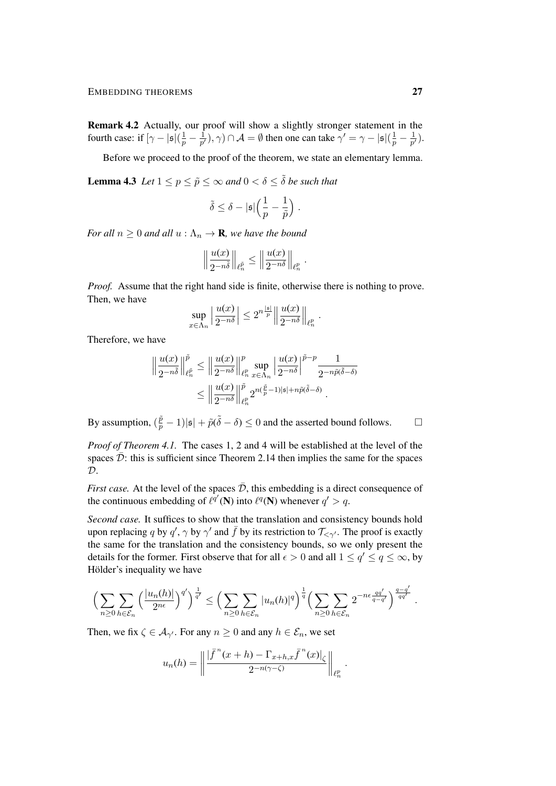Remark 4.2 Actually, our proof will show a slightly stronger statement in the fourth case: if  $\left[\gamma - |\mathfrak{s}| (\frac{1}{p} - \frac{1}{p'})\right]$  $(\frac{1}{p'})$ ,  $\gamma$ )  $\cap A = \emptyset$  then one can take  $\gamma' = \gamma - |\mathfrak{s}|(\frac{1}{p} - \frac{1}{p})$  $\frac{1}{p'}).$ 

Before we proceed to the proof of the theorem, we state an elementary lemma.

<span id="page-26-0"></span>**Lemma 4.3** *Let*  $1 \leq p \leq \tilde{p} \leq \infty$  *and*  $0 < \delta \leq \tilde{\delta}$  *be such that* 

$$
\tilde{\delta} \leq \delta - |\mathfrak{s}| \Big( \frac{1}{p} - \frac{1}{\tilde{p}} \Big) \; .
$$

*For all*  $n \geq 0$  *and all*  $u : \Lambda_n \to \mathbf{R}$ *, we have the bound* 

$$
\left\|\frac{u(x)}{2^{-n\tilde{\delta}}}\right\|_{\ell^{\tilde{p}}_n} \leq \left\|\frac{u(x)}{2^{-n\delta}}\right\|_{\ell^p_n}.
$$

*Proof.* Assume that the right hand side is finite, otherwise there is nothing to prove. Then, we have

$$
\sup_{x \in \Lambda_n} \left| \frac{u(x)}{2^{-n\delta}} \right| \leq 2^{n \frac{|\mathfrak{s}|}{p}} \left\| \frac{u(x)}{2^{-n\delta}} \right\|_{\ell^p_n}
$$

.

Therefore, we have

$$
\left\|\frac{u(x)}{2^{-n\tilde{\delta}}}\right\|_{\ell^{\tilde{p}}_n}^{\tilde{p}} \le \left\|\frac{u(x)}{2^{-n\delta}}\right\|_{\ell^p_n}^p \sup_{x \in \Lambda_n} \left|\frac{u(x)}{2^{-n\delta}}\right|^{\tilde{p}-p} \frac{1}{2^{-n\tilde{p}(\tilde{\delta}-\delta)}}
$$

$$
\le \left\|\frac{u(x)}{2^{-n\delta}}\right\|_{\ell^p_n}^{\tilde{p}} 2^{n(\frac{\tilde{p}}{p}-1)|\mathfrak{s}|+n\tilde{p}(\tilde{\delta}-\delta)}.
$$

By assumption,  $(\frac{\tilde{p}}{p} - 1)|\mathfrak{s}| + \tilde{p}(\tilde{\delta} - \delta) \leq 0$  and the asserted bound follows.

*Proof of Theorem [4.1.](#page-25-1)* The cases 1, 2 and 4 will be established at the level of the spaces  $\bar{\mathcal{D}}$ : this is sufficient since Theorem [2.14](#page-11-0) then implies the same for the spaces  $\mathcal{D}$ .

*First case.* At the level of the spaces  $\overline{D}$ , this embedding is a direct consequence of the continuous embedding of  $\ell^{\bar{q}}(\mathbf{N})$  into  $\ell^q(\mathbf{N})$  whenever  $q' > q$ .

*Second case.* It suffices to show that the translation and consistency bounds hold upon replacing q by  $q'$ ,  $\gamma$  by  $\gamma'$  and  $\bar{f}$  by its restriction to  $\mathcal{T}_{\leq \gamma'}$ . The proof is exactly the same for the translation and the consistency bounds, so we only present the details for the former. First observe that for all  $\epsilon > 0$  and all  $1 \le q' \le q \le \infty$ , by Hölder's inequality we have

$$
\Big(\sum_{n\geq 0}\sum_{h\in\mathcal{E}_n}\Big(\frac{|u_n(h)|}{2^{n\epsilon}}\Big)^{q'}\Big)^{\frac{1}{q'}}\leq \Big(\sum_{n\geq 0}\sum_{h\in\mathcal{E}_n}|u_n(h)|^q\Big)^{\frac{1}{q}}\Big(\sum_{n\geq 0}\sum_{h\in\mathcal{E}_n}2^{-n\epsilon\frac{qq'}{q-q'}}\Big)^{\frac{q-q'}{qq'}}\,.
$$

Then, we fix  $\zeta \in \mathcal{A}_{\gamma'}$ . For any  $n \geq 0$  and any  $h \in \mathcal{E}_n$ , we set

$$
u_n(h) = \left\| \frac{\left| \bar{f}^n(x+h) - \Gamma_{x+h,x} \bar{f}^n(x) \right|_{\zeta}}{2^{-n(\gamma - \zeta)}} \right\|_{\ell_n^p}
$$

.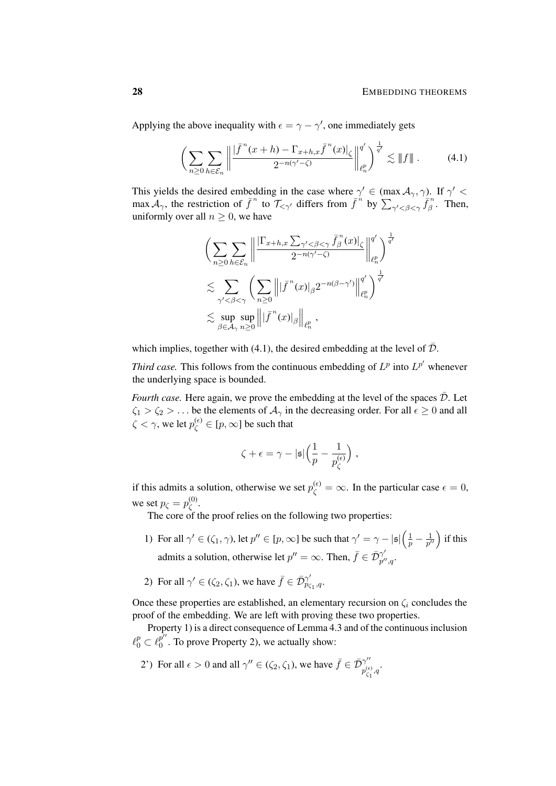Applying the above inequality with  $\epsilon = \gamma - \gamma'$ , one immediately gets

$$
\bigg(\sum_{n\geq 0}\sum_{h\in\mathcal{E}_n}\left\|\frac{|\bar{f}^n(x+h)-\Gamma_{x+h,x}\bar{f}^n(x)|_{\zeta}}{2^{-n(\gamma'-\zeta)}}\right\|_{\ell^p_n}^{q'}\bigg\}^{\frac{1}{q'}}\lesssim \|f\|\ .\qquad(4.1)
$$

This yields the desired embedding in the case where  $\gamma' \in (\max A_\gamma, \gamma)$ . If  $\gamma' <$ max  $A_\gamma$ , the restriction of  $\bar{f}^n$  to  $\mathcal{T}_{\leq \gamma'}$  differs from  $\bar{f}^n$  by  $\sum_{\gamma' < \beta \leq \gamma} \bar{f}^n_{\beta}$  $\int_{\beta}^n$ . Then, uniformly over all  $n \geq 0$ , we have

<span id="page-27-0"></span>
$$
\left(\sum_{n\geq 0}\sum_{h\in\mathcal{E}_n}\left\|\frac{\left|\Gamma_{x+h,x}\sum_{\gamma'<\beta<\gamma}\bar{f}_\beta^n(x)\right|_{\zeta}}{2^{-n(\gamma'-\zeta)}}\right\|_{\ell^p_n}^{q'}\right)^{\frac{1}{q'}}\n\n\lesssim \sum_{\substack{\gamma'<\beta<\gamma}}\left(\sum_{n\geq 0}\left\|\left|\bar{f}^n(x)\right|_{\beta}2^{-n(\beta-\gamma')}\right\|_{\ell^p_n}^{q'}\right)^{\frac{1}{q'}}\n\n\lesssim \sup_{\beta\in\mathcal{A}_\gamma}\sup_{n\geq 0}\left\|\left|\bar{f}^n(x)\right|_{\beta}\right\|_{\ell^p_n},\n
$$

which implies, together with [\(4.1\)](#page-27-0), the desired embedding at the level of  $\overline{\mathcal{D}}$ .

*Third case.* This follows from the continuous embedding of  $L^p$  into  $L^{p'}$  whenever the underlying space is bounded.

*Fourth case.* Here again, we prove the embedding at the level of the spaces  $\overline{\mathcal{D}}$ . Let  $\zeta_1 > \zeta_2 > \ldots$  be the elements of  $\mathcal{A}_{\gamma}$  in the decreasing order. For all  $\epsilon \geq 0$  and all  $\zeta < \gamma$ , we let  $p_{\zeta}^{(\epsilon)} \in [p, \infty]$  be such that

$$
\zeta+\epsilon=\gamma-|\mathfrak{s}|\Big(\frac{1}{p}-\frac{1}{p^{(\epsilon)}_\zeta}\Big)\ ,
$$

if this admits a solution, otherwise we set  $p_{\zeta}^{(\epsilon)} = \infty$ . In the particular case  $\epsilon = 0$ , we set  $p_{\zeta} = p_{\zeta}^{(0)}$ ω,<br>ζ

The core of the proof relies on the following two properties:

- 1) For all  $\gamma' \in (\zeta_1, \gamma)$ , let  $p'' \in [p, \infty]$  be such that  $\gamma' = \gamma |\mathfrak{s}| \left( \frac{1}{p} \frac{1}{p'} \right)$  $\frac{1}{p^{\prime\prime}}$  ) if this admits a solution, otherwise let  $p'' = \infty$ . Then,  $\bar{f} \in \bar{\mathcal{D}}_{p''}^{\gamma'}$  $\stackrel{\gamma}{p'',q}.$
- 2) For all  $\gamma' \in (\zeta_2, \zeta_1)$ , we have  $\bar{f} \in \bar{\mathcal{D}}_{p_c}^{\gamma'}$  $\stackrel{\gamma}{p}_{\zeta_1},q.$

Once these properties are established, an elementary recursion on  $\zeta_i$  concludes the proof of the embedding. We are left with proving these two properties.

Property 1) is a direct consequence of Lemma [4.3](#page-26-0) and of the continuous inclusion  $\ell^p_0 \subset \ell^{p^{\gamma\prime}}_0$  $\frac{p}{0}$ . To prove Property 2), we actually show:

2') For all  $\epsilon > 0$  and all  $\gamma'' \in (\zeta_2, \zeta_1)$ , we have  $\bar{f} \in \bar{\mathcal{D}}_{\zeta(\epsilon)}^{\gamma''}$  $p_{\zeta_1}^{(\epsilon)}, q^{\boldsymbol{\cdot}}$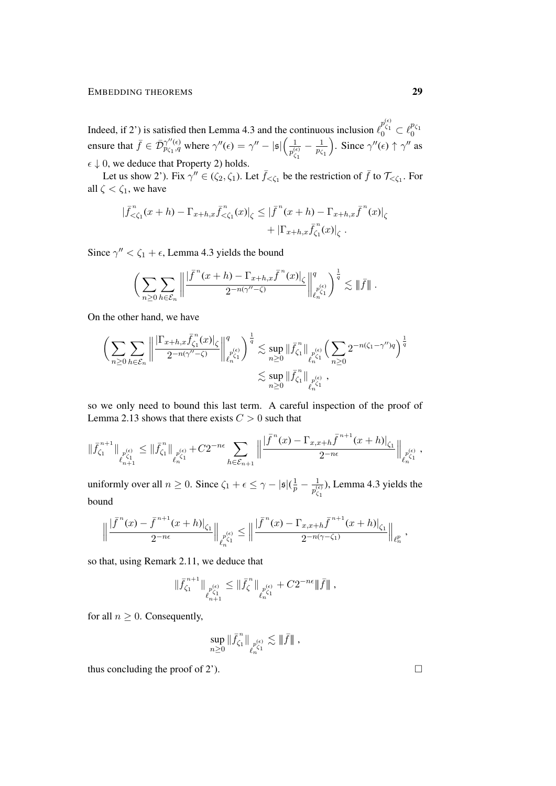#### EMBEDDING THEOREMS 29

Indeed, if 2') is satisfied then Lemma [4.3](#page-26-0) and the continuous inclusion  $\ell_0^{p_{\zeta_1}^{(\epsilon)}} \subset \ell_0^{p_{\zeta_1}}$ ensure that  $\bar{f} \in \bar{\mathcal{D}}_{p_{\zeta_1},q}^{\gamma''(\epsilon)}$  $\gamma''(\epsilon)$  where  $\gamma''(\epsilon) = \gamma'' - |\mathfrak{s}| \left( \frac{1}{p_{\epsilon}^{(0)}} \right)$  $p_{\zeta_1}^{(\epsilon)}$  $-\frac{1}{n}$  $\overline{p_{\zeta_1}}$ ). Since  $\gamma''(\epsilon) \uparrow \gamma''$  as  $\epsilon \downarrow 0$ , we deduce that Property 2) holds.

Let us show 2'). Fix  $\gamma'' \in (\zeta_2, \zeta_1)$ . Let  $\bar{f}_{\leq \zeta_1}$  be the restriction of  $\bar{f}$  to  $\mathcal{T}_{\leq \zeta_1}$ . For all  $\zeta < \zeta_1$ , we have

$$
\left| \bar{f}_{\leq \zeta_1}^n(x+h) - \Gamma_{x+h,x} \bar{f}_{\leq \zeta_1}^n(x) \right|_{\zeta} \leq \left| \bar{f}^n(x+h) - \Gamma_{x+h,x} \bar{f}^n(x) \right|_{\zeta} \n+ \left| \Gamma_{x+h,x} \bar{f}_{\zeta_1}^n(x) \right|_{\zeta} .
$$

Since  $\gamma'' < \zeta_1 + \epsilon$ , Lemma [4.3](#page-26-0) yields the bound

$$
\bigg(\sum_{n\geq 0}\sum_{h\in\mathcal{E}_n}\bigg\|\frac{|\bar{f}^n(x+h)-\Gamma_{x+h,x}\bar{f}^n(x)|_{\zeta}}{2^{-n(\gamma''-\zeta)}}\bigg\|_{\ell_n^{\rho(\zeta)} }^q\bigg\|_{\ell_n^{\rho(\zeta)}}^{q}\bigg\} \lesssim \|\bar{f}\|.
$$

On the other hand, we have

$$
\label{eq:bound} \bigg(\sum_{n\geq 0}\sum_{h\in\mathcal{E}_n}\Big\|\frac{|\Gamma_{x+h,x}\bar{f}_{\zeta_1}^{\,n}(x)|_\zeta}{2^{-n(\gamma''-\zeta)}}\Big\|_{\ell_n^{\rho(\zeta)} }^q\bigg)^{\frac{1}{q}}\lesssim \sup_{n\geq 0}\|\bar{f}_{\zeta_1}^{\,n}\|_{\ell_n^{\rho(\zeta)} } \Big(\sum_{n\geq 0} 2^{-n(\zeta_1-\gamma'')q}\Big)^{\frac{1}{q}}\\ \lesssim \sup_{n\geq 0}\|\bar{f}_{\zeta_1}^{\,n}\|_{\ell_n^{\rho(\zeta)} } \ ,
$$

so we only need to bound this last term. A careful inspection of the proof of Lemma [2.13](#page-10-1) shows that there exists  $C > 0$  such that

$$
\|\bar{f}_{\zeta_1}^{n+1}\|_{\ell_{n+1}^{(\epsilon)}} \le \|\bar{f}_{\zeta_1}^{n}\|_{\ell_{n}^{\ell_{\zeta_1}^{(\epsilon)}}} + C2^{-n\epsilon} \sum_{h \in \mathcal{E}_{n+1}} \Big\|\frac{|\bar{f}^n(x) - \Gamma_{x,x+h}\bar{f}^{n+1}(x+h)|_{\zeta_1}}{2^{-n\epsilon}}\Big\|_{\ell_{n}^{\ell_{\zeta_1}^{(\epsilon)}}},
$$

uniformly over all  $n \ge 0$ . Since  $\zeta_1 + \epsilon \le \gamma - |\mathfrak{s}|(\frac{1}{p} - \frac{1}{p_1^{(n)}})$  $\overline{p_{\zeta_1}^{(\epsilon)}}$ ), Lemma [4.3](#page-26-0) yields the bound

$$
\left\|\frac{|\bar{f}^{n}(x)-\bar{f}^{n+1}(x+h)|_{\zeta_{1}}}{2^{-n\epsilon}}\right\|_{\ell_{n}^{p_{\zeta_{1}}^{(\epsilon)}}} \leq \left\|\frac{|\bar{f}^{n}(x)-\Gamma_{x,x+h}\bar{f}^{n+1}(x+h)|_{\zeta_{1}}}{2^{-n(\gamma-\zeta_{1})}}\right\|_{\ell_{n}^{p}},
$$

so that, using Remark [2.11,](#page-10-0) we deduce that

$$
\|\bar{f}_{\zeta_1}^{\,n+1}\|_{\substack{p_{\zeta_1}^{(\epsilon)} \\ \ell_{n+1}}} \le \|\bar{f}_{\zeta}^{\,n}\|_{\substack{p_{\zeta_1}^{(\epsilon)} \\ \ell_{n}^{(\epsilon)}}} + C2^{-n\epsilon} \|\bar{f}\| \;,
$$

for all  $n \geq 0$ . Consequently,

$$
\sup_{n\geq 0}\|\bar f_{\zeta_1}^{\,n}\|_{\ell^{\rho(\epsilon)}_n}\lesssim \|\bar f\|\;,
$$

thus concluding the proof of 2').  $\Box$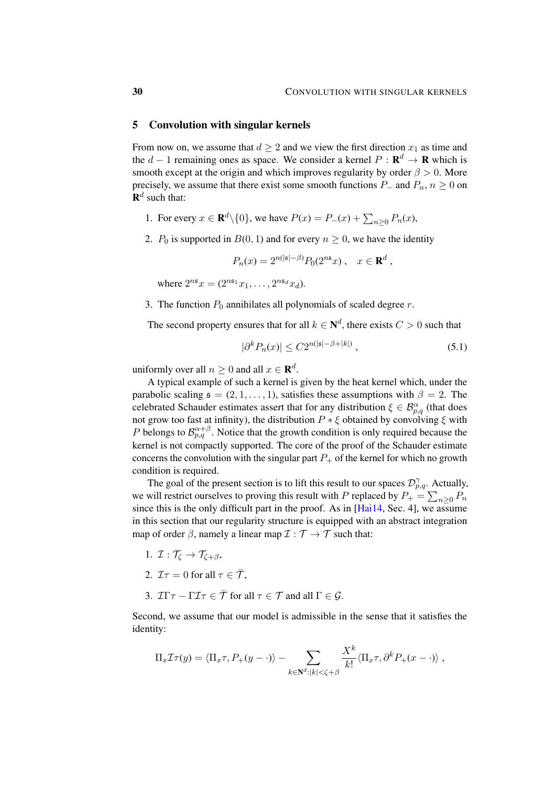## <span id="page-29-0"></span>5 Convolution with singular kernels

From now on, we assume that  $d \geq 2$  and we view the first direction  $x_1$  as time and the  $d-1$  remaining ones as space. We consider a kernel  $P : \mathbf{R}^d \to \mathbf{R}$  which is smooth except at the origin and which improves regularity by order  $\beta > 0$ . More precisely, we assume that there exist some smooth functions  $P_$  and  $P_n$ ,  $n \geq 0$  on  $\mathbf{R}^d$  such that:

- 1. For every  $x \in \mathbf{R}^d \setminus \{0\}$ , we have  $P(x) = P_-(x) + \sum_{n \geq 0} P_n(x)$ ,
- 2.  $P_0$  is supported in  $B(0, 1)$  and for every  $n \ge 0$ , we have the identity

$$
P_n(x) = 2^{n(|\mathfrak{s}| - \beta)} P_0(2^{n\mathfrak{s}} x), \quad x \in \mathbf{R}^d,
$$

where  $2^{ns}x = (2^{ns_1}x_1, \ldots, 2^{ns_d}x_d)$ .

3. The function  $P_0$  annihilates all polynomials of scaled degree r.

The second property ensures that for all  $k \in \mathbb{N}^d$ , there exists  $C > 0$  such that

<span id="page-29-1"></span>
$$
|\partial^k P_n(x)| \le C 2^{n(|\mathfrak{s}| - \beta + |k|)},\tag{5.1}
$$

uniformly over all  $n \geq 0$  and all  $x \in \mathbf{R}^d$ .

A typical example of such a kernel is given by the heat kernel which, under the parabolic scaling  $\mathfrak{s} = (2, 1, \ldots, 1)$ , satisfies these assumptions with  $\beta = 2$ . The celebrated Schauder estimates assert that for any distribution  $\xi \in \mathcal{B}_{p,q}^{\alpha}$  (that does not grow too fast at infinity), the distribution  $P * \xi$  obtained by convolving  $\xi$  with P belongs to  $\mathcal{B}_{p,q}^{\alpha+\beta}$ . Notice that the growth condition is only required because the kernel is not compactly supported. The core of the proof of the Schauder estimate concerns the convolution with the singular part  $P_+$  of the kernel for which no growth condition is required.

The goal of the present section is to lift this result to our spaces  $\mathcal{D}_{p,q}^{\gamma}$ . Actually, we will restrict ourselves to proving this result with P replaced by  $P_+ = \sum_{n\geq 0} P_n$ since this is the only difficult part in the proof. As in [\[Hai14,](#page-34-0) Sec. 4], we assume in this section that our regularity structure is equipped with an abstract integration map of order  $\beta$ , namely a linear map  $\mathcal{I}: \mathcal{T} \to \mathcal{T}$  such that:

- 1.  $\mathcal{I}: \mathcal{T}_{\zeta} \to \mathcal{T}_{\zeta+\beta},$
- 2.  $\mathcal{I}\tau = 0$  for all  $\tau \in \overline{\mathcal{T}}$ ,
- 3.  $\mathcal{I}\Gamma\tau \Gamma\mathcal{I}\tau \in \overline{\mathcal{T}}$  for all  $\tau \in \mathcal{T}$  and all  $\Gamma \in \mathcal{G}$ .

Second, we assume that our model is admissible in the sense that it satisfies the identity:

$$
\Pi_x \mathcal{I} \tau(y) = \langle \Pi_x \tau, P_+(y - \cdot) \rangle - \sum_{k \in \mathbf{N}^d : |k| < \zeta + \beta} \frac{X^k}{k!} \langle \Pi_x \tau, \partial^k P_+(x - \cdot) \rangle,
$$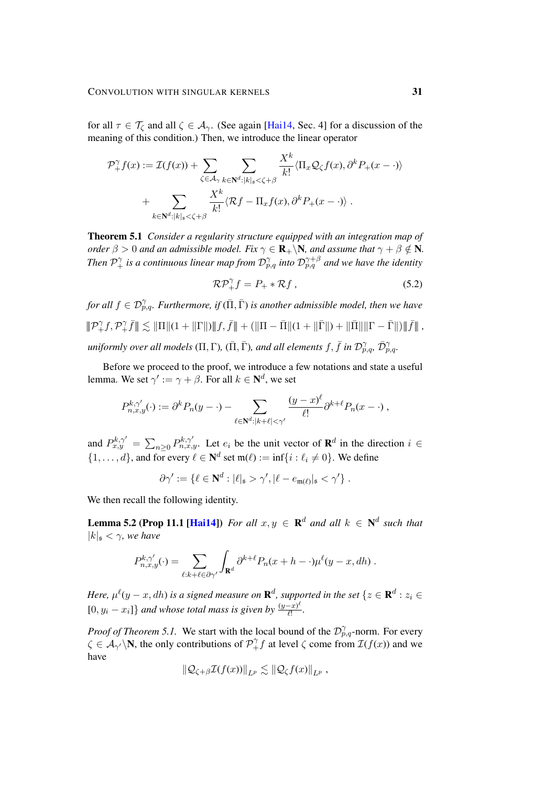for all  $\tau \in \mathcal{T}_{\zeta}$  and all  $\zeta \in \mathcal{A}_{\gamma}$ . (See again [\[Hai14,](#page-34-0) Sec. 4] for a discussion of the meaning of this condition.) Then, we introduce the linear operator

$$
\mathcal{P}_+^{\gamma} f(x) := \mathcal{I}(f(x)) + \sum_{\zeta \in \mathcal{A}_{\gamma}} \sum_{k \in \mathbb{N}^d : |k|_{\mathfrak{s}} < \zeta + \beta} \frac{X^k}{k!} \langle \Pi_x \mathcal{Q}_{\zeta} f(x), \partial^k P_+(x - \cdot) \rangle
$$
\n
$$
+ \sum_{k \in \mathbb{N}^d : |k|_{\mathfrak{s}} < \zeta + \beta} \frac{X^k}{k!} \langle \mathcal{R} f - \Pi_x f(x), \partial^k P_+(x - \cdot) \rangle.
$$

<span id="page-30-0"></span>Theorem 5.1 *Consider a regularity structure equipped with an integration map of order*  $\beta > 0$  *and an admissible model. Fix*  $\gamma \in \mathbf{R}_+ \backslash \mathbf{N}$ *, and assume that*  $\gamma + \beta \notin \mathbf{N}$ *.* Then  $\mathcal{P}_+^{\gamma}$  is a continuous linear map from  $\mathcal{D}_{p,q}^{\gamma}$  into  $\mathcal{D}_{p,q}^{\gamma+\beta}$  and we have the identity

<span id="page-30-1"></span>
$$
\mathcal{RP}_+^\gamma f = P_+ * \mathcal{R}f \,,\tag{5.2}
$$

for all  $f \in \mathcal{D}_{p,q}^{\gamma}$ . Furthermore, if  $(\bar{\Pi}, \bar{\Gamma})$  is another admissible model, then we have  $\\
|\!\|\mathcal{P}_+^{\gamma}f,\mathcal{P}_+^{\gamma}$  $\| \tilde{\mathcal{F}}_{+}\tilde{f}\| \lesssim \| \Pi\| (1+\|\Gamma\|) |\!|\!| f, \bar{f} |\!|\!| +(|| \Pi-\bar \Pi| |(1+\|\bar \Gamma\|) +\|\bar \Pi\| |\!|\Gamma-\bar \Gamma| |)\|\bar f |\!|\!| \, ,$  $u$ niformly over all models ( $\Pi, \Gamma$ ), ( $\bar{\Pi}, \bar{\Gamma}$ ), and all elements  $f, \bar{f}$  in  $\mathcal{D}_{p,q}^{\gamma}, \bar{\mathcal{D}}_{p,q}^{\gamma}$ .

Before we proceed to the proof, we introduce a few notations and state a useful lemma. We set  $\gamma' := \gamma + \beta$ . For all  $k \in \mathbf{N}^d$ , we set

$$
P_{n,x,y}^{k,\gamma'}(\cdot) := \partial^k P_n(y - \cdot) - \sum_{\ell \in \mathbb{N}^d : |k+\ell| < \gamma'} \frac{(y - x)^\ell}{\ell!} \partial^{k+\ell} P_n(x - \cdot) \,,
$$

and  $P_{x,y}^{k,\gamma'} = \sum_{n\geq 0} P_{n,x,y}^{k,\gamma'}$ . Let  $e_i$  be the unit vector of  $\mathbf{R}^d$  in the direction  $i \in$  $\{1, \ldots, d\}$ , and for every  $\ell \in \mathbb{N}^d$  set  $\mathfrak{m}(\ell) := \inf\{i : \ell_i \neq 0\}$ . We define

$$
\partial \gamma' := \{ \ell \in \mathbf{N}^d : |\ell|_{\mathfrak{s}} > \gamma', |\ell - e_{\mathfrak{m}(\ell)}|_{\mathfrak{s}} < \gamma' \}.
$$

We then recall the following identity.

**Lemma 5.2 (Prop 11.1 [\[Hai14\]](#page-34-0)**) *For all*  $x, y \in \mathbb{R}^d$  and all  $k \in \mathbb{N}^d$  such that  $|k|_{\mathfrak{s}} < \gamma$ *, we have* 

$$
P_{n,x,y}^{k,\gamma'}(\cdot) = \sum_{\ell:k+\ell \in \partial \gamma'} \int_{\mathbf{R}^d} \partial^{k+\ell} P_n(x+h-\cdot) \mu^{\ell}(y-x, dh) .
$$

Here,  $\mu^\ell(y-x, dh)$  is a signed measure on  $\mathbf{R}^d$ , supported in the set  $\{z \in \mathbf{R}^d : z_i \in$  $[0, y_i - x_i]$ } and whose total mass is given by  $\frac{(y-x)^{\ell}}{\ell!}$  $\frac{-x)^{c}}{\ell!}$ .

*Proof of Theorem [5.1.](#page-30-0)* We start with the local bound of the  $\mathcal{D}_{p,q}^{\gamma}$ -norm. For every  $\zeta \in \mathcal{A}_{\gamma'}\backslash \mathbb{N}$ , the only contributions of  $\mathcal{P}_{+}^{\gamma}f$  at level  $\zeta$  come from  $\mathcal{I}(f(x))$  and we have

$$
\|\mathcal{Q}_{\zeta+\beta}\mathcal{I}(f(x))\|_{L^p}\lesssim \|\mathcal{Q}_{\zeta}f(x)\|_{L^p},
$$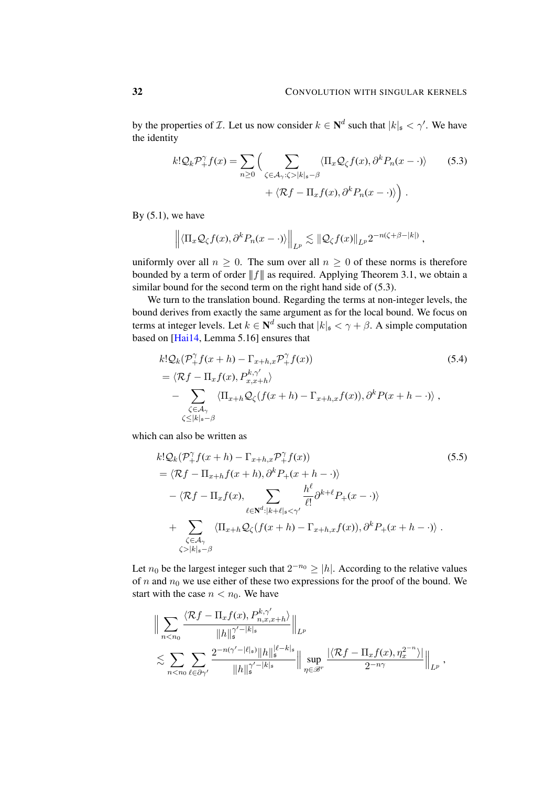by the properties of *T*. Let us now consider  $k \in \mathbb{N}^d$  such that  $|k|_{\mathfrak{s}} < \gamma'$ . We have the identity

<span id="page-31-0"></span>
$$
k! \mathcal{Q}_k \mathcal{P}_+^{\gamma} f(x) = \sum_{n \ge 0} \Big( \sum_{\zeta \in \mathcal{A}_{\gamma}: \zeta > |k|_{\mathfrak{s}} - \beta} \langle \Pi_x \mathcal{Q}_{\zeta} f(x), \partial^k P_n(x - \cdot) \rangle \Big) \tag{5.3}
$$

$$
+ \langle \mathcal{R} f - \Pi_x f(x), \partial^k P_n(x - \cdot) \rangle \Big).
$$

By  $(5.1)$ , we have

$$
\left\| \langle \Pi_x \mathcal{Q}_\zeta f(x), \partial^k P_n(x - \cdot) \rangle \right\|_{L^p} \lesssim \left\| \mathcal{Q}_\zeta f(x) \right\|_{L^p} 2^{-n(\zeta + \beta - |k|)},
$$

uniformly over all  $n \geq 0$ . The sum over all  $n \geq 0$  of these norms is therefore bounded by a term of order  $|| f ||$  as required. Applying Theorem [3.1,](#page-15-1) we obtain a similar bound for the second term on the right hand side of [\(5.3\)](#page-31-0).

We turn to the translation bound. Regarding the terms at non-integer levels, the bound derives from exactly the same argument as for the local bound. We focus on terms at integer levels. Let  $k \in \mathbb{N}^d$  such that  $|k|_{\mathfrak{s}} < \gamma + \beta$ . A simple computation based on [\[Hai14,](#page-34-0) Lemma 5.16] ensures that

<span id="page-31-1"></span>
$$
k!Q_k(\mathcal{P}_+^{\gamma}f(x+h) - \Gamma_{x+h,x}\mathcal{P}_+^{\gamma}f(x))
$$
\n
$$
= \langle \mathcal{R}f - \Pi_x f(x), P_{x,x+h}^{k,\gamma'} \rangle
$$
\n
$$
- \sum_{\substack{\zeta \in \mathcal{A}_{\gamma} \\ \zeta \le |k|_{\mathfrak{s}} - \beta}} \langle \Pi_{x+h} \mathcal{Q}_{\zeta}(f(x+h) - \Gamma_{x+h,x}f(x)), \partial^k P(x+h - \cdot) \rangle,
$$
\n(5.4)

which can also be written as

<span id="page-31-2"></span>
$$
k!Q_k(\mathcal{P}_+^{\gamma}f(x+h) - \Gamma_{x+h,x}\mathcal{P}_+^{\gamma}f(x))
$$
\n
$$
= \langle \mathcal{R}f - \Pi_{x+h}f(x+h), \partial^k P_+(x+h-\cdot) \rangle
$$
\n
$$
- \langle \mathcal{R}f - \Pi_x f(x), \sum_{\ell \in \mathbb{N}^d : |k+\ell| \le \gamma'} \frac{h^{\ell}}{\ell!} \partial^{k+\ell} P_+(x-\cdot) \rangle
$$
\n
$$
+ \sum_{\substack{\zeta \in \mathcal{A}_{\gamma} \\ \zeta > |k| \le -\beta}} \langle \Pi_{x+h} \mathcal{Q}_{\zeta}(f(x+h) - \Gamma_{x+h,x}f(x)), \partial^k P_+(x+h-\cdot) \rangle.
$$
\n(5.5)

Let  $n_0$  be the largest integer such that  $2^{-n_0} \ge |h|$ . According to the relative values of  $n$  and  $n_0$  we use either of these two expressions for the proof of the bound. We start with the case  $n < n_0$ . We have

$$
\Big\|\sum_{n  

$$
\lesssim \sum_{n
$$
$$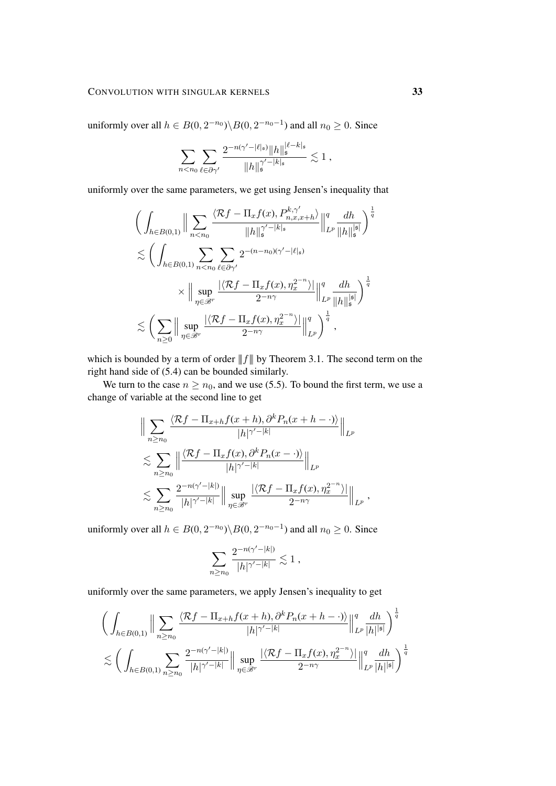uniformly over all  $h \in B(0, 2^{-n_0}) \backslash B(0, 2^{-n_0-1})$  and all  $n_0 \ge 0$ . Since

$$
\sum_{n < n_0} \sum_{\ell \in \partial \gamma'} \frac{2^{-n(\gamma' - |\ell|_{\mathfrak{s}})} \|h\|_{\mathfrak{s}}^{|\ell - k|_{\mathfrak{s}}}}{\|h\|_{\mathfrak{s}}^{\gamma' - |k|_{\mathfrak{s}}}} \lesssim 1,
$$

uniformly over the same parameters, we get using Jensen's inequality that

$$
\left(\int_{h\in B(0,1)} \Big\|\sum_{n\lesssim \left(\int_{h\in B(0,1)} \sum_{n\lesssim \left(\sum_{n\geq 0} \Big\|\sup_{\eta\in\mathscr{B}^r} \frac{|\langle \mathcal{R}f-\Pi_x f(x), \eta_x^{2^{-n}}\rangle|}{2^{-n\gamma}}\Big\|_{L^p}^q\right)^{\frac{1}{q}},
$$

which is bounded by a term of order  $|| f ||$  by Theorem [3.1.](#page-15-1) The second term on the right hand side of [\(5.4\)](#page-31-1) can be bounded similarly.

We turn to the case  $n \ge n_0$ , and we use [\(5.5\)](#page-31-2). To bound the first term, we use a change of variable at the second line to get

$$
\|\sum_{n\geq n_0} \frac{\langle \mathcal{R}f - \Pi_{x+h}f(x+h), \partial^k P_n(x+h-\cdot)\rangle}{|h|^{\gamma'-|k|}}\|_{L^p}
$$
  
\$\lesssim \sum\_{n\geq n\_0} \left\|\frac{\langle \mathcal{R}f - \Pi\_x f(x), \partial^k P\_n(x-\cdot)\rangle}{|h|^{\gamma'-|k|}}\right\|\_{L^p}\$  
\$\lesssim \sum\_{n\geq n\_0} \frac{2^{-n(\gamma'-|k|)}}{|h|^{\gamma'-|k|}} \left\|\sup\_{\eta\in\mathscr{B}^r} \frac{|\langle \mathcal{R}f - \Pi\_x f(x), \eta\_x^{2^{-n}}\rangle|}{2^{-n\gamma}}\right\|\_{L^p},

uniformly over all  $h \in B(0, 2^{-n_0}) \backslash B(0, 2^{-n_0-1})$  and all  $n_0 \ge 0$ . Since

$$
\sum_{n\geq n_0}\frac{2^{-n(\gamma' -|k|)}}{|h|^{\gamma' -|k|}}\lesssim 1\;,
$$

uniformly over the same parameters, we apply Jensen's inequality to get

$$
\left(\int_{h\in B(0,1)} \Big\|\sum_{n\geq n_0} \frac{\langle \mathcal{R}f-\Pi_{x+h}f(x+h),\partial^k P_n(x+h-\cdot)\rangle}{|h|^{\gamma'-|k|}}\Big\|_{L^p}^q \frac{dh}{|h|^{|s|}}\right)^{\frac{1}{q}}
$$
  

$$
\lesssim \left(\int_{h\in B(0,1)} \sum_{n\geq n_0} \frac{2^{-n(\gamma'-|k|)}}{|h|^{\gamma'-|k|}} \Big\|\sup_{\eta\in\mathscr{B}^r} \frac{|\langle \mathcal{R}f-\Pi_xf(x),\eta_x^{2^{-n}}\rangle|}{2^{-n\gamma}}\Big\|_{L^p}^q \frac{dh}{|h|^{|s|}}\right)^{\frac{1}{q}}
$$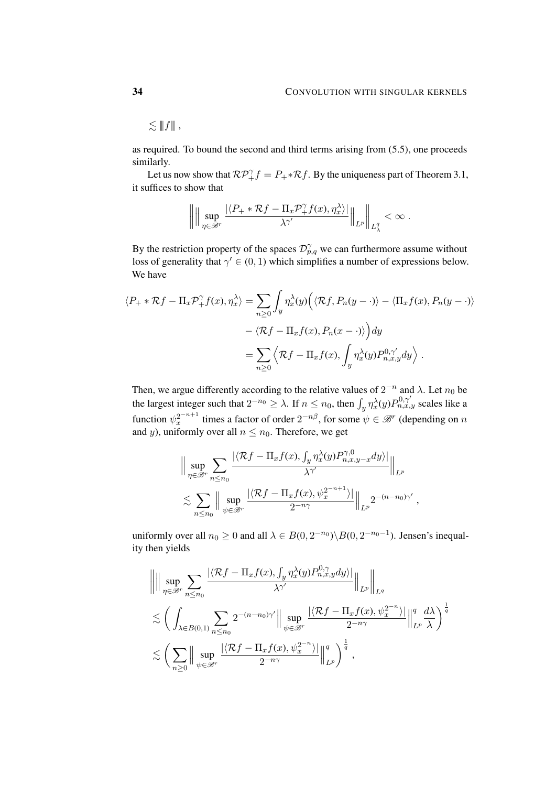$\lesssim$   $||f||$ ,

as required. To bound the second and third terms arising from [\(5.5\)](#page-31-2), one proceeds similarly.

Let us now show that  $\mathcal{RP}_+^{\gamma}f = P_+ * \mathcal{R}f$ . By the uniqueness part of Theorem [3.1,](#page-15-1) it suffices to show that

$$
\bigg\|\Big\|\sup_{\eta\in\mathscr{B}^r}\frac{|\langle P_+\ast\mathcal{R}f-\Pi_x\mathcal{P}_+^\gamma f(x),\eta_x^\lambda\rangle|}{\lambda^{\gamma'}}\Big\|_{L^p}\bigg\|_{L^q_\lambda}<\infty\;.
$$

By the restriction property of the spaces  $\mathcal{D}_{p,q}^{\gamma}$  we can furthermore assume without loss of generality that  $\gamma' \in (0, 1)$  which simplifies a number of expressions below. We have

$$
\langle P_+ * \mathcal{R}f - \Pi_x \mathcal{P}_+^{\gamma} f(x), \eta_x^{\lambda} \rangle = \sum_{n \ge 0} \int_y \eta_x^{\lambda} (y) \Big( \langle \mathcal{R}f, P_n(y - \cdot) \rangle - \langle \Pi_x f(x), P_n(y - \cdot) \rangle \Big) \cdot \langle \mathcal{R}f - \Pi_x f(x), P_n(x - \cdot) \rangle \Big) dy
$$

$$
= \sum_{n \ge 0} \Big( \mathcal{R}f - \Pi_x f(x), \int_y \eta_x^{\lambda} (y) P_{n,x,y}^{0,\gamma'} dy \Big) .
$$

Then, we argue differently according to the relative values of  $2^{-n}$  and  $\lambda$ . Let  $n_0$  be the largest integer such that  $2^{-n_0} \geq \lambda$ . If  $n \leq n_0$ , then  $\int_y \eta_x^{\lambda}(y) P_{n,x,y}^{0,\gamma'}$  scales like a function  $\psi_x^{2^{-n+1}}$  times a factor of order  $2^{-n\beta}$ , for some  $\psi \in \mathscr{B}^r$  (depending on n and y), uniformly over all  $n \leq n_0$ . Therefore, we get

$$
\Big\| \sup_{\eta \in \mathscr{B}^r} \sum_{n \le n_0} \frac{|\langle \mathcal{R}f - \Pi_x f(x), \int_y \eta_x^{\lambda}(y) P_{n,x,y-x}^{\gamma,0} dy \rangle|}{\lambda^{\gamma'}} \Big\|_{L^p}
$$
  

$$
\lesssim \sum_{n \le n_0} \Big\| \sup_{\psi \in \mathscr{B}^r} \frac{|\langle \mathcal{R}f - \Pi_x f(x), \psi_x^{2^{-n+1}} \rangle|}{2^{-n\gamma}} \Big\|_{L^p} 2^{-(n-n_0)\gamma'},
$$

uniformly over all  $n_0 \ge 0$  and all  $\lambda \in B(0, 2^{-n_0}) \setminus B(0, 2^{-n_0-1})$ . Jensen's inequality then yields

$$
\label{eq:bound_1} \begin{split} &\left\|\Big\|\sup_{\eta\in\mathscr{B}^r}\sum_{n\leq n_0}\frac{|\langle\mathcal{R}f-\Pi_x f(x),\int_y\eta_x^\lambda(y)P_{n,x,y}^{0,\gamma}dy\rangle|}{\lambda^{\gamma'}}\Big\|_{L^p}\right\|_{L^q}\\ &\lesssim \bigg(\int_{\lambda\in B(0,1)}\sum_{n\leq n_0}2^{-(n-n_0)\gamma'}\Big\|\sup_{\psi\in\mathscr{B}^r}\frac{|\langle\mathcal{R}f-\Pi_x f(x),\psi_x^{2^{-n}}\rangle|}{2^{-n\gamma}}\Big\|_{L^p}^q\frac{d\lambda}{\lambda}\bigg)^{\frac{1}{q}}\\ &\lesssim \bigg(\sum_{n\geq 0}\Big\|\sup_{\psi\in\mathscr{B}^r}\frac{|\langle\mathcal{R}f-\Pi_x f(x),\psi_x^{2^{-n}}\rangle|}{2^{-n\gamma}}\Big\|_{L^p}^q\bigg)^{\frac{1}{q}}\,, \end{split}
$$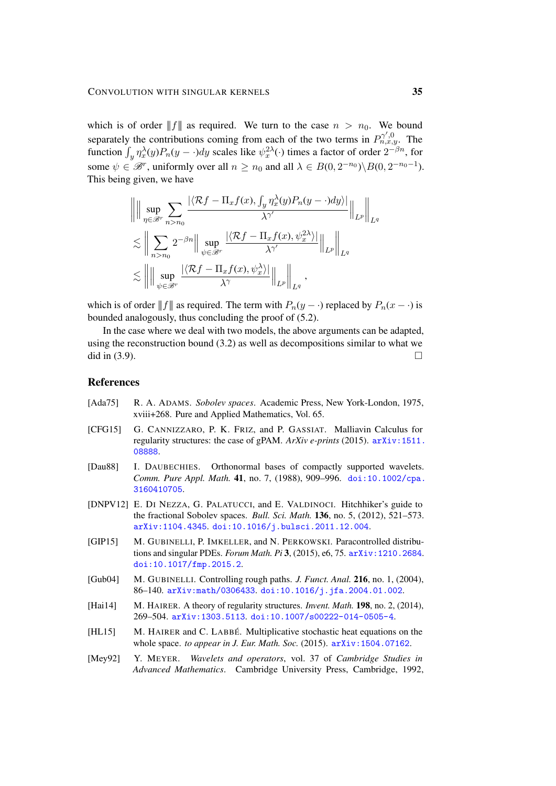which is of order  $||f||$  as required. We turn to the case  $n > n_0$ . We bound separately the contributions coming from each of the two terms in  $P_{n,x,y}^{\gamma',0}$ . The function  $\int_y \eta_x^{\lambda}(y)P_n(y-\cdot)dy$  scales like  $\psi_x^{2\lambda}(\cdot)$  times a factor of order  $2^{-\beta n}$ , for some  $\psi \in \mathscr{B}^r$ , uniformly over all  $n \ge n_0$  and all  $\lambda \in B(0, 2^{-n_0}) \setminus B(0, 2^{-n_0-1})$ . This being given, we have

$$
\left\| \left\| \sup_{\eta \in \mathscr{B}^r} \sum_{n>n_0} \frac{\left| \langle \mathcal{R}f - \Pi_x f(x), \int_y \eta_x^{\lambda}(y) P_n(y - \cdot) dy \rangle \right|}{\lambda^{\gamma'}} \right\|_{L^p} \right\|_{L^q}
$$
  

$$
\lesssim \left\| \sum_{n>n_0} 2^{-\beta n} \right\| \sup_{\psi \in \mathscr{B}^r} \frac{\left| \langle \mathcal{R}f - \Pi_x f(x), \psi_x^2 \rangle \right|}{\lambda^{\gamma'}} \right\|_{L^p} \left\|_{L^p} \right\|_{L^q}
$$
  

$$
\lesssim \left\| \left\| \sup_{\psi \in \mathscr{B}^r} \frac{\left| \langle \mathcal{R}f - \Pi_x f(x), \psi_x^{\lambda} \rangle \right|}{\lambda^{\gamma}} \right\|_{L^p} \right\|_{L^q},
$$

which is of order  $|| f ||$  as required. The term with  $P_n(y - \cdot)$  replaced by  $P_n(x - \cdot)$  is bounded analogously, thus concluding the proof of [\(5.2\)](#page-30-1).

In the case where we deal with two models, the above arguments can be adapted, using the reconstruction bound [\(3.2\)](#page-15-3) as well as decompositions similar to what we did in  $(3.9)$ .

## References

- <span id="page-34-5"></span>[Ada75] R. A. ADAMS. *Sobolev spaces*. Academic Press, New York-London, 1975, xviii+268. Pure and Applied Mathematics, Vol. 65.
- <span id="page-34-3"></span>[CFG15] G. CANNIZZARO, P. K. FRIZ, and P. GASSIAT. Malliavin Calculus for regularity structures: the case of gPAM. *ArXiv e-prints* (2015). [arXiv:1511.](http://arxiv.org/abs/1511.08888) [08888](http://arxiv.org/abs/1511.08888).
- <span id="page-34-8"></span>[Dau88] I. DAUBECHIES. Orthonormal bases of compactly supported wavelets. *Comm. Pure Appl. Math.* 41, no. 7, (1988), 909–996. [doi:10.1002/cpa.](http://dx.doi.org/10.1002/cpa.3160410705) [3160410705](http://dx.doi.org/10.1002/cpa.3160410705).
- <span id="page-34-6"></span>[DNPV12] E. DI NEZZA, G. PALATUCCI, and E. VALDINOCI. Hitchhiker's guide to the fractional Sobolev spaces. *Bull. Sci. Math.* 136, no. 5, (2012), 521–573. [arXiv:1104.4345](http://arxiv.org/abs/1104.4345). [doi:10.1016/j.bulsci.2011.12.004](http://dx.doi.org/10.1016/j.bulsci.2011.12.004).
- <span id="page-34-1"></span>[GIP15] M. GUBINELLI, P. IMKELLER, and N. PERKOWSKI. Paracontrolled distributions and singular PDEs. *Forum Math. Pi* 3, (2015), e6, 75. [arXiv:1210.2684](http://arxiv.org/abs/1210.2684). [doi:10.1017/fmp.2015.2](http://dx.doi.org/10.1017/fmp.2015.2).
- <span id="page-34-4"></span>[Gub04] M. GUBINELLI. Controlling rough paths. *J. Funct. Anal.* 216, no. 1, (2004), 86–140. [arXiv:math/0306433](http://arxiv.org/abs/math/0306433). [doi:10.1016/j.jfa.2004.01.002](http://dx.doi.org/10.1016/j.jfa.2004.01.002).
- <span id="page-34-0"></span>[Hai14] M. HAIRER. A theory of regularity structures. *Invent. Math.* 198, no. 2, (2014), 269–504. [arXiv:1303.5113](http://arxiv.org/abs/1303.5113). [doi:10.1007/s00222-014-0505-4](http://dx.doi.org/10.1007/s00222-014-0505-4).
- <span id="page-34-2"></span>[HL15] M. HAIRER and C. LABBE´. Multiplicative stochastic heat equations on the whole space. *to appear in J. Eur. Math. Soc.* (2015). [arXiv:1504.07162](http://arxiv.org/abs/1504.07162).
- <span id="page-34-7"></span>[Mey92] Y. MEYER. *Wavelets and operators*, vol. 37 of *Cambridge Studies in Advanced Mathematics*. Cambridge University Press, Cambridge, 1992,